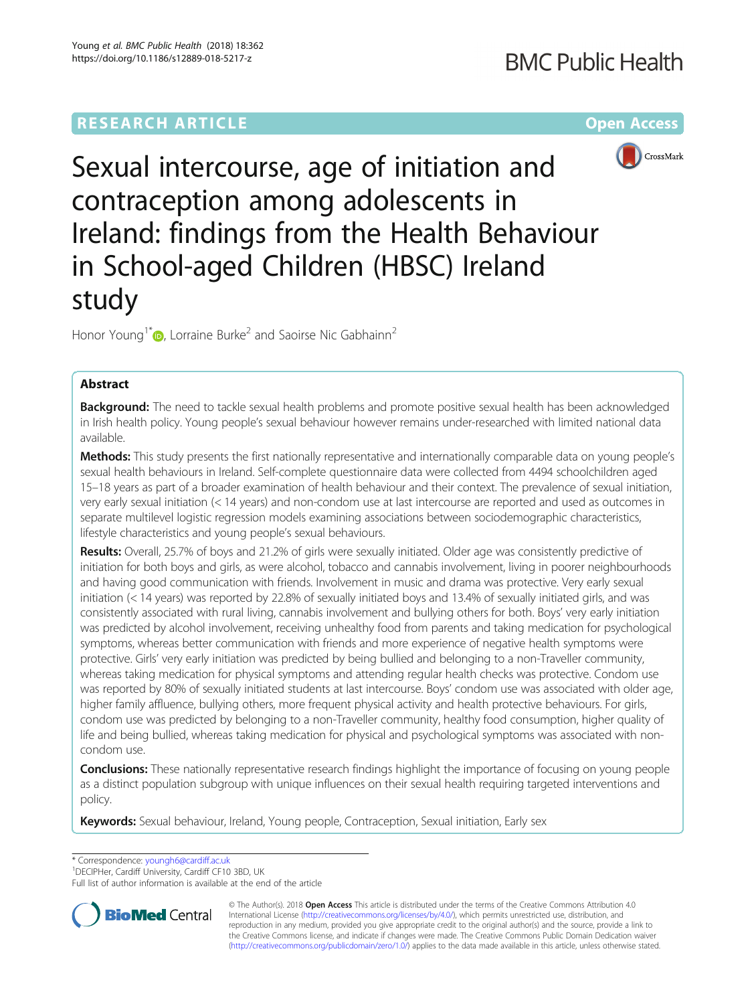

Sexual intercourse, age of initiation and contraception among adolescents in Ireland: findings from the Health Behaviour in School-aged Children (HBSC) Ireland study

Honor Young<sup>1[\\*](http://orcid.org/0000-0003-0664-4002)</sup> $\odot$ , Lorraine Burke<sup>2</sup> and Saoirse Nic Gabhainn<sup>2</sup>

# Abstract

Background: The need to tackle sexual health problems and promote positive sexual health has been acknowledged in Irish health policy. Young people's sexual behaviour however remains under-researched with limited national data available.

Methods: This study presents the first nationally representative and internationally comparable data on young people's sexual health behaviours in Ireland. Self-complete questionnaire data were collected from 4494 schoolchildren aged 15–18 years as part of a broader examination of health behaviour and their context. The prevalence of sexual initiation, very early sexual initiation (< 14 years) and non-condom use at last intercourse are reported and used as outcomes in separate multilevel logistic regression models examining associations between sociodemographic characteristics, lifestyle characteristics and young people's sexual behaviours.

Results: Overall, 25.7% of boys and 21.2% of girls were sexually initiated. Older age was consistently predictive of initiation for both boys and girls, as were alcohol, tobacco and cannabis involvement, living in poorer neighbourhoods and having good communication with friends. Involvement in music and drama was protective. Very early sexual initiation (< 14 years) was reported by 22.8% of sexually initiated boys and 13.4% of sexually initiated girls, and was consistently associated with rural living, cannabis involvement and bullying others for both. Boys' very early initiation was predicted by alcohol involvement, receiving unhealthy food from parents and taking medication for psychological symptoms, whereas better communication with friends and more experience of negative health symptoms were protective. Girls' very early initiation was predicted by being bullied and belonging to a non-Traveller community, whereas taking medication for physical symptoms and attending regular health checks was protective. Condom use was reported by 80% of sexually initiated students at last intercourse. Boys' condom use was associated with older age, higher family affluence, bullying others, more frequent physical activity and health protective behaviours. For girls, condom use was predicted by belonging to a non-Traveller community, healthy food consumption, higher quality of life and being bullied, whereas taking medication for physical and psychological symptoms was associated with noncondom use.

**Conclusions:** These nationally representative research findings highlight the importance of focusing on young people as a distinct population subgroup with unique influences on their sexual health requiring targeted interventions and policy.

Keywords: Sexual behaviour, Ireland, Young people, Contraception, Sexual initiation, Early sex

\* Correspondence: [youngh6@cardiff.ac.uk](mailto:youngh6@cardiff.ac.uk) <sup>1</sup>

<sup>1</sup>DECIPHer, Cardiff University, Cardiff CF10 3BD, UK

Full list of author information is available at the end of the article



© The Author(s). 2018 Open Access This article is distributed under the terms of the Creative Commons Attribution 4.0 International License [\(http://creativecommons.org/licenses/by/4.0/](http://creativecommons.org/licenses/by/4.0/)), which permits unrestricted use, distribution, and reproduction in any medium, provided you give appropriate credit to the original author(s) and the source, provide a link to the Creative Commons license, and indicate if changes were made. The Creative Commons Public Domain Dedication waiver [\(http://creativecommons.org/publicdomain/zero/1.0/](http://creativecommons.org/publicdomain/zero/1.0/)) applies to the data made available in this article, unless otherwise stated.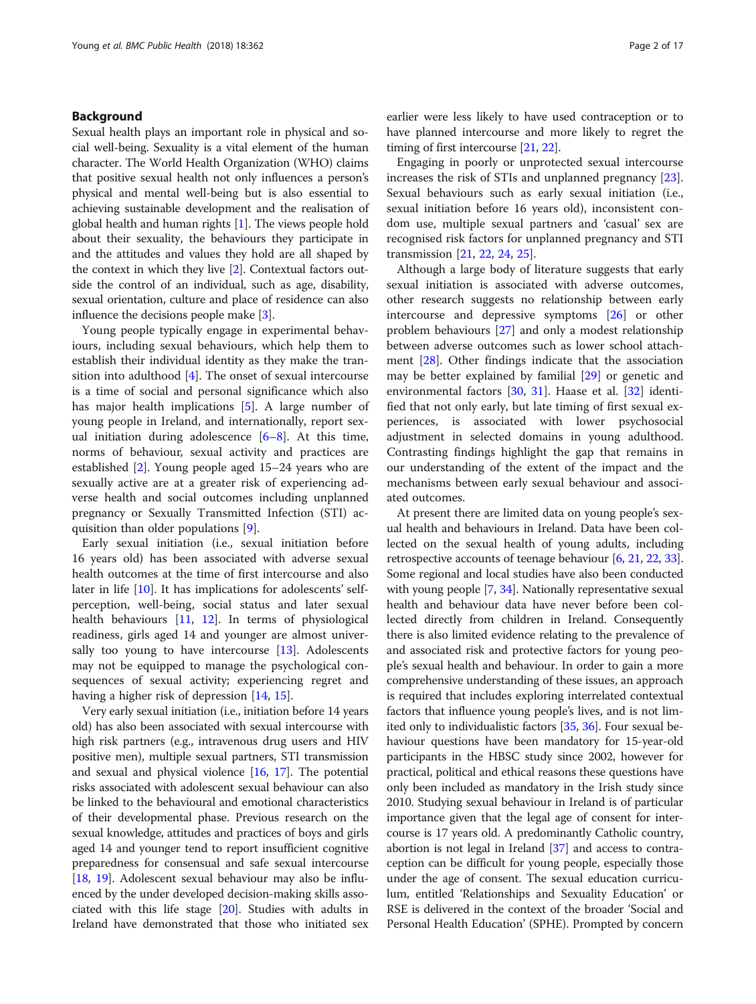## Background

Sexual health plays an important role in physical and social well-being. Sexuality is a vital element of the human character. The World Health Organization (WHO) claims that positive sexual health not only influences a person's physical and mental well-being but is also essential to achieving sustainable development and the realisation of global health and human rights  $[1]$  $[1]$ . The views people hold about their sexuality, the behaviours they participate in and the attitudes and values they hold are all shaped by the context in which they live [[2](#page-15-0)]. Contextual factors outside the control of an individual, such as age, disability, sexual orientation, culture and place of residence can also influence the decisions people make [[3](#page-15-0)].

Young people typically engage in experimental behaviours, including sexual behaviours, which help them to establish their individual identity as they make the transition into adulthood  $[4]$  $[4]$ . The onset of sexual intercourse is a time of social and personal significance which also has major health implications [[5\]](#page-15-0). A large number of young people in Ireland, and internationally, report sexual initiation during adolescence  $[6-8]$  $[6-8]$  $[6-8]$ . At this time, norms of behaviour, sexual activity and practices are established [[2\]](#page-15-0). Young people aged 15–24 years who are sexually active are at a greater risk of experiencing adverse health and social outcomes including unplanned pregnancy or Sexually Transmitted Infection (STI) acquisition than older populations [\[9](#page-15-0)].

Early sexual initiation (i.e., sexual initiation before 16 years old) has been associated with adverse sexual health outcomes at the time of first intercourse and also later in life [\[10](#page-15-0)]. It has implications for adolescents' selfperception, well-being, social status and later sexual health behaviours [\[11,](#page-15-0) [12\]](#page-15-0). In terms of physiological readiness, girls aged 14 and younger are almost universally too young to have intercourse [[13\]](#page-15-0). Adolescents may not be equipped to manage the psychological consequences of sexual activity; experiencing regret and having a higher risk of depression [\[14,](#page-15-0) [15\]](#page-15-0).

Very early sexual initiation (i.e., initiation before 14 years old) has also been associated with sexual intercourse with high risk partners (e.g., intravenous drug users and HIV positive men), multiple sexual partners, STI transmission and sexual and physical violence [\[16,](#page-15-0) [17\]](#page-15-0). The potential risks associated with adolescent sexual behaviour can also be linked to the behavioural and emotional characteristics of their developmental phase. Previous research on the sexual knowledge, attitudes and practices of boys and girls aged 14 and younger tend to report insufficient cognitive preparedness for consensual and safe sexual intercourse [[18](#page-15-0), [19](#page-15-0)]. Adolescent sexual behaviour may also be influenced by the under developed decision-making skills associated with this life stage [\[20\]](#page-15-0). Studies with adults in Ireland have demonstrated that those who initiated sex earlier were less likely to have used contraception or to have planned intercourse and more likely to regret the timing of first intercourse [[21](#page-15-0), [22\]](#page-15-0).

Engaging in poorly or unprotected sexual intercourse increases the risk of STIs and unplanned pregnancy [\[23](#page-15-0)]. Sexual behaviours such as early sexual initiation (i.e., sexual initiation before 16 years old), inconsistent condom use, multiple sexual partners and 'casual' sex are recognised risk factors for unplanned pregnancy and STI transmission [[21](#page-15-0), [22](#page-15-0), [24](#page-15-0), [25](#page-15-0)].

Although a large body of literature suggests that early sexual initiation is associated with adverse outcomes, other research suggests no relationship between early intercourse and depressive symptoms [[26\]](#page-15-0) or other problem behaviours [\[27](#page-15-0)] and only a modest relationship between adverse outcomes such as lower school attachment [[28](#page-15-0)]. Other findings indicate that the association may be better explained by familial [[29\]](#page-15-0) or genetic and environmental factors [[30](#page-15-0), [31\]](#page-15-0). Haase et al. [[32](#page-15-0)] identified that not only early, but late timing of first sexual experiences, is associated with lower psychosocial adjustment in selected domains in young adulthood. Contrasting findings highlight the gap that remains in our understanding of the extent of the impact and the mechanisms between early sexual behaviour and associated outcomes.

At present there are limited data on young people's sexual health and behaviours in Ireland. Data have been collected on the sexual health of young adults, including retrospective accounts of teenage behaviour [\[6](#page-15-0), [21,](#page-15-0) [22,](#page-15-0) [33](#page-15-0)]. Some regional and local studies have also been conducted with young people [\[7](#page-15-0), [34](#page-15-0)]. Nationally representative sexual health and behaviour data have never before been collected directly from children in Ireland. Consequently there is also limited evidence relating to the prevalence of and associated risk and protective factors for young people's sexual health and behaviour. In order to gain a more comprehensive understanding of these issues, an approach is required that includes exploring interrelated contextual factors that influence young people's lives, and is not limited only to individualistic factors [\[35,](#page-15-0) [36](#page-15-0)]. Four sexual behaviour questions have been mandatory for 15-year-old participants in the HBSC study since 2002, however for practical, political and ethical reasons these questions have only been included as mandatory in the Irish study since 2010. Studying sexual behaviour in Ireland is of particular importance given that the legal age of consent for intercourse is 17 years old. A predominantly Catholic country, abortion is not legal in Ireland [[37](#page-15-0)] and access to contraception can be difficult for young people, especially those under the age of consent. The sexual education curriculum, entitled 'Relationships and Sexuality Education' or RSE is delivered in the context of the broader 'Social and Personal Health Education' (SPHE). Prompted by concern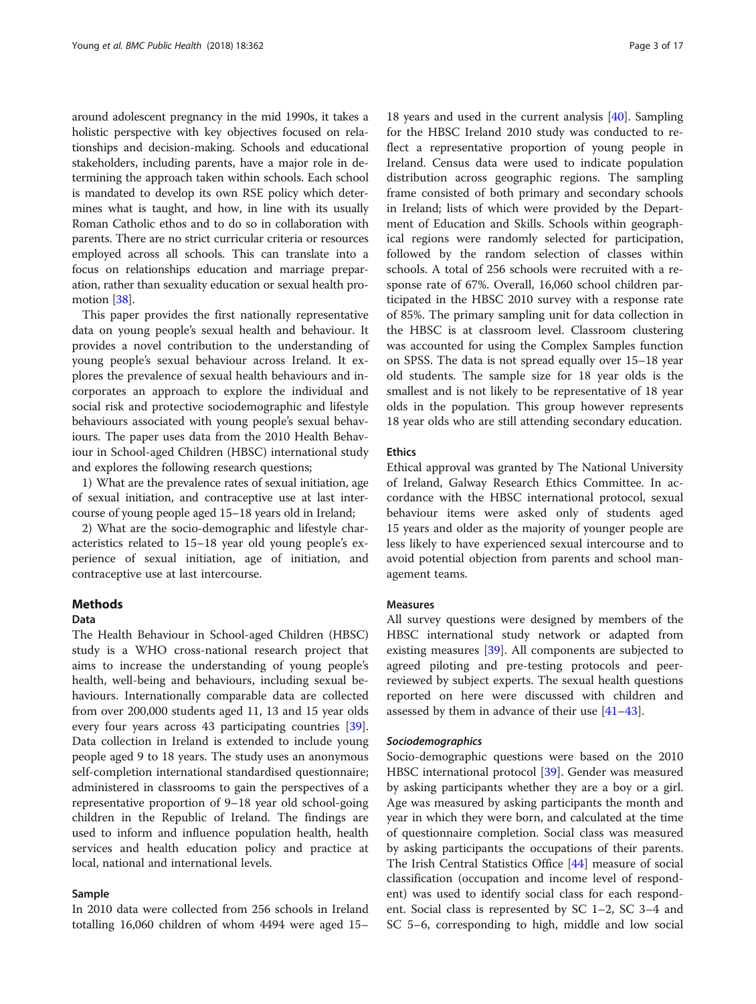around adolescent pregnancy in the mid 1990s, it takes a holistic perspective with key objectives focused on relationships and decision-making. Schools and educational stakeholders, including parents, have a major role in determining the approach taken within schools. Each school is mandated to develop its own RSE policy which determines what is taught, and how, in line with its usually Roman Catholic ethos and to do so in collaboration with parents. There are no strict curricular criteria or resources employed across all schools. This can translate into a focus on relationships education and marriage preparation, rather than sexuality education or sexual health promotion [\[38](#page-15-0)].

This paper provides the first nationally representative data on young people's sexual health and behaviour. It provides a novel contribution to the understanding of young people's sexual behaviour across Ireland. It explores the prevalence of sexual health behaviours and incorporates an approach to explore the individual and social risk and protective sociodemographic and lifestyle behaviours associated with young people's sexual behaviours. The paper uses data from the 2010 Health Behaviour in School-aged Children (HBSC) international study and explores the following research questions;

1) What are the prevalence rates of sexual initiation, age of sexual initiation, and contraceptive use at last intercourse of young people aged 15–18 years old in Ireland;

2) What are the socio-demographic and lifestyle characteristics related to 15–18 year old young people's experience of sexual initiation, age of initiation, and contraceptive use at last intercourse.

## **Methods**

## Data

The Health Behaviour in School-aged Children (HBSC) study is a WHO cross-national research project that aims to increase the understanding of young people's health, well-being and behaviours, including sexual behaviours. Internationally comparable data are collected from over 200,000 students aged 11, 13 and 15 year olds every four years across 43 participating countries [\[39](#page-15-0)]. Data collection in Ireland is extended to include young people aged 9 to 18 years. The study uses an anonymous self-completion international standardised questionnaire; administered in classrooms to gain the perspectives of a representative proportion of 9–18 year old school-going children in the Republic of Ireland. The findings are used to inform and influence population health, health services and health education policy and practice at local, national and international levels.

## Sample

In 2010 data were collected from 256 schools in Ireland totalling 16,060 children of whom 4494 were aged 15–

18 years and used in the current analysis  $[40]$  $[40]$ . Sampling for the HBSC Ireland 2010 study was conducted to reflect a representative proportion of young people in Ireland. Census data were used to indicate population distribution across geographic regions. The sampling frame consisted of both primary and secondary schools in Ireland; lists of which were provided by the Department of Education and Skills. Schools within geographical regions were randomly selected for participation, followed by the random selection of classes within schools. A total of 256 schools were recruited with a response rate of 67%. Overall, 16,060 school children participated in the HBSC 2010 survey with a response rate of 85%. The primary sampling unit for data collection in the HBSC is at classroom level. Classroom clustering was accounted for using the Complex Samples function on SPSS. The data is not spread equally over 15–18 year old students. The sample size for 18 year olds is the smallest and is not likely to be representative of 18 year olds in the population. This group however represents 18 year olds who are still attending secondary education.

### Ethics

Ethical approval was granted by The National University of Ireland, Galway Research Ethics Committee. In accordance with the HBSC international protocol, sexual behaviour items were asked only of students aged 15 years and older as the majority of younger people are less likely to have experienced sexual intercourse and to avoid potential objection from parents and school management teams.

### Measures

All survey questions were designed by members of the HBSC international study network or adapted from existing measures [\[39](#page-15-0)]. All components are subjected to agreed piloting and pre-testing protocols and peerreviewed by subject experts. The sexual health questions reported on here were discussed with children and assessed by them in advance of their use [[41](#page-15-0)–[43](#page-15-0)].

### Sociodemographics

Socio-demographic questions were based on the 2010 HBSC international protocol [[39\]](#page-15-0). Gender was measured by asking participants whether they are a boy or a girl. Age was measured by asking participants the month and year in which they were born, and calculated at the time of questionnaire completion. Social class was measured by asking participants the occupations of their parents. The Irish Central Statistics Office [\[44](#page-15-0)] measure of social classification (occupation and income level of respondent) was used to identify social class for each respondent. Social class is represented by SC 1–2, SC 3–4 and SC 5–6, corresponding to high, middle and low social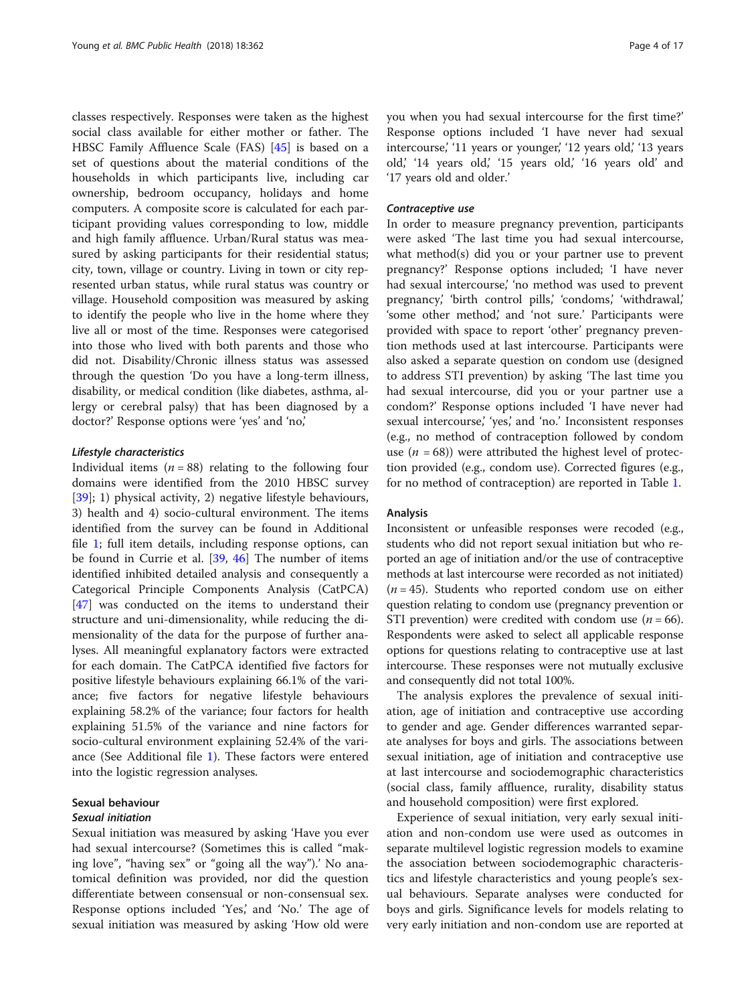classes respectively. Responses were taken as the highest social class available for either mother or father. The HBSC Family Affluence Scale (FAS) [\[45](#page-15-0)] is based on a set of questions about the material conditions of the households in which participants live, including car ownership, bedroom occupancy, holidays and home computers. A composite score is calculated for each participant providing values corresponding to low, middle and high family affluence. Urban/Rural status was measured by asking participants for their residential status; city, town, village or country. Living in town or city represented urban status, while rural status was country or village. Household composition was measured by asking to identify the people who live in the home where they live all or most of the time. Responses were categorised into those who lived with both parents and those who did not. Disability/Chronic illness status was assessed through the question 'Do you have a long-term illness, disability, or medical condition (like diabetes, asthma, allergy or cerebral palsy) that has been diagnosed by a doctor?' Response options were 'yes' and 'no,'

### Lifestyle characteristics

Individual items ( $n = 88$ ) relating to the following four domains were identified from the 2010 HBSC survey [[39\]](#page-15-0); 1) physical activity, 2) negative lifestyle behaviours, 3) health and 4) socio-cultural environment. The items identified from the survey can be found in Additional file [1](#page-14-0); full item details, including response options, can be found in Currie et al. [[39,](#page-15-0) [46](#page-15-0)] The number of items identified inhibited detailed analysis and consequently a Categorical Principle Components Analysis (CatPCA) [[47\]](#page-15-0) was conducted on the items to understand their structure and uni-dimensionality, while reducing the dimensionality of the data for the purpose of further analyses. All meaningful explanatory factors were extracted for each domain. The CatPCA identified five factors for positive lifestyle behaviours explaining 66.1% of the variance; five factors for negative lifestyle behaviours explaining 58.2% of the variance; four factors for health explaining 51.5% of the variance and nine factors for socio-cultural environment explaining 52.4% of the variance (See Additional file [1](#page-14-0)). These factors were entered into the logistic regression analyses.

#### Sexual behaviour

#### Sexual initiation

Sexual initiation was measured by asking 'Have you ever had sexual intercourse? (Sometimes this is called "making love", "having sex" or "going all the way").' No anatomical definition was provided, nor did the question differentiate between consensual or non-consensual sex. Response options included 'Yes,' and 'No.' The age of sexual initiation was measured by asking 'How old were you when you had sexual intercourse for the first time?' Response options included 'I have never had sexual intercourse, '11 years or younger, '12 years old, '13 years old,' '14 years old,' '15 years old,' '16 years old' and '17 years old and older.'

### Contraceptive use

In order to measure pregnancy prevention, participants were asked 'The last time you had sexual intercourse, what method(s) did you or your partner use to prevent pregnancy?' Response options included; 'I have never had sexual intercourse,' 'no method was used to prevent pregnancy, 'birth control pills,' 'condoms,' 'withdrawal,' 'some other method,' and 'not sure.' Participants were provided with space to report 'other' pregnancy prevention methods used at last intercourse. Participants were also asked a separate question on condom use (designed to address STI prevention) by asking 'The last time you had sexual intercourse, did you or your partner use a condom?' Response options included 'I have never had sexual intercourse,' 'yes,' and 'no.' Inconsistent responses (e.g., no method of contraception followed by condom use  $(n = 68)$ ) were attributed the highest level of protection provided (e.g., condom use). Corrected figures (e.g., for no method of contraception) are reported in Table [1.](#page-4-0)

### Analysis

Inconsistent or unfeasible responses were recoded (e.g., students who did not report sexual initiation but who reported an age of initiation and/or the use of contraceptive methods at last intercourse were recorded as not initiated)  $(n = 45)$ . Students who reported condom use on either question relating to condom use (pregnancy prevention or STI prevention) were credited with condom use  $(n = 66)$ . Respondents were asked to select all applicable response options for questions relating to contraceptive use at last intercourse. These responses were not mutually exclusive and consequently did not total 100%.

The analysis explores the prevalence of sexual initiation, age of initiation and contraceptive use according to gender and age. Gender differences warranted separate analyses for boys and girls. The associations between sexual initiation, age of initiation and contraceptive use at last intercourse and sociodemographic characteristics (social class, family affluence, rurality, disability status and household composition) were first explored.

Experience of sexual initiation, very early sexual initiation and non-condom use were used as outcomes in separate multilevel logistic regression models to examine the association between sociodemographic characteristics and lifestyle characteristics and young people's sexual behaviours. Separate analyses were conducted for boys and girls. Significance levels for models relating to very early initiation and non-condom use are reported at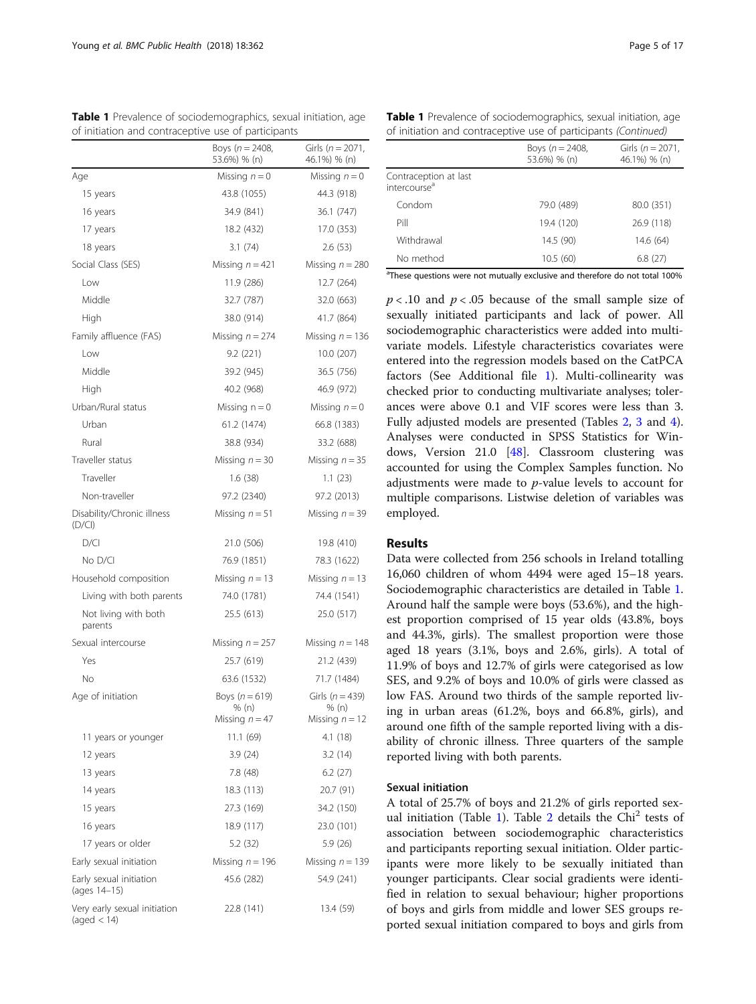|                                               | Boys ( $n = 2408$ ,                             | Girls ( $n = 2071$ ,                             |
|-----------------------------------------------|-------------------------------------------------|--------------------------------------------------|
|                                               | 53.6%) % (n)                                    | 46.1%) % (n)                                     |
| Age                                           | Missing $n = 0$                                 | Missing $n = 0$                                  |
| 15 years                                      | 43.8 (1055)                                     | 44.3 (918)                                       |
| 16 years                                      | 34.9 (841)                                      | 36.1 (747)                                       |
| 17 years                                      | 18.2 (432)                                      | 17.0 (353)                                       |
| 18 years                                      | 3.1(74)                                         | 2.6(53)                                          |
| Social Class (SES)                            | Missing $n = 421$                               | Missing $n = 280$                                |
| Low                                           | 11.9 (286)                                      | 12.7 (264)                                       |
| Middle                                        | 32.7 (787)                                      | 32.0 (663)                                       |
| High                                          | 38.0 (914)                                      | 41.7 (864)                                       |
| Family affluence (FAS)                        | Missing $n = 274$                               | Missing $n = 136$                                |
| Low                                           | 9.2(221)                                        | 10.0 (207)                                       |
| Middle                                        | 39.2 (945)                                      | 36.5 (756)                                       |
| High                                          | 40.2 (968)                                      | 46.9 (972)                                       |
| Urban/Rural status                            | Missing $n = 0$                                 | Missing $n = 0$                                  |
| Urban                                         | 61.2 (1474)                                     | 66.8 (1383)                                      |
| Rural                                         | 38.8 (934)                                      | 33.2 (688)                                       |
| Traveller status                              | Missing $n = 30$                                | Missing $n = 35$                                 |
| Traveller                                     | 1.6(38)                                         | 1.1(23)                                          |
| Non-traveller                                 | 97.2 (2340)                                     | 97.2 (2013)                                      |
| Disability/Chronic illness<br>(D/CI)          | Missing $n = 51$                                | Missing $n = 39$                                 |
| D/CI                                          | 21.0 (506)                                      | 19.8 (410)                                       |
| No D/Cl                                       | 76.9 (1851)                                     | 78.3 (1622)                                      |
| Household composition                         | Missing $n = 13$                                | Missing $n = 13$                                 |
| Living with both parents                      | 74.0 (1781)                                     | 74.4 (1541)                                      |
| Not living with both<br>parents               | 25.5 (613)                                      | 25.0 (517)                                       |
| Sexual intercourse                            | Missing $n = 257$                               | Missing $n = 148$                                |
| Yes                                           | 25.7 (619)                                      | 21.2 (439)                                       |
| No                                            | 63.6 (1532)                                     | 71.7 (1484)                                      |
| Age of initiation                             | Boys ( $n = 619$ )<br>% (n)<br>Missing $n = 47$ | Girls ( $n = 439$ )<br>% (n)<br>Missing $n = 12$ |
| 11 years or younger                           | 11.1(69)                                        | 4.1 (18)                                         |
| 12 years                                      | 3.9(24)                                         | 3.2 (14)                                         |
| 13 years                                      | 7.8 (48)                                        | 6.2(27)                                          |
| 14 years                                      | 18.3 (113)                                      | 20.7 (91)                                        |
| 15 years                                      | 27.3 (169)                                      | 34.2 (150)                                       |
| 16 years                                      | 18.9 (117)                                      | 23.0 (101)                                       |
| 17 years or older                             | 5.2 (32)                                        | 5.9(26)                                          |
| Early sexual initiation                       |                                                 | Missing $n = 139$                                |
|                                               | Missing $n = 196$                               |                                                  |
| Early sexual initiation<br>(ages 14-15)       | 45.6 (282)                                      | 54.9 (241)                                       |
| Very early sexual initiation<br>(aged $<$ 14) | 22.8 (141)                                      | 13.4 (59)                                        |

<span id="page-4-0"></span>Table 1 Prevalence of sociodemographics, sexual initiation, age of initiation and contraceptive use of participants

|  | Table 1 Prevalence of sociodemographics, sexual initiation, age |  |  |
|--|-----------------------------------------------------------------|--|--|
|  | of initiation and contraceptive use of participants (Continued) |  |  |

|                                                   | Boys ( $n = 2408$ ,<br>53.6%) % (n) | Girls ( $n = 2071$ ,<br>46.1%) % (n) |
|---------------------------------------------------|-------------------------------------|--------------------------------------|
| Contraception at last<br>intercourse <sup>a</sup> |                                     |                                      |
| Condom                                            | 79.0 (489)                          | 80.0 (351)                           |
| Pill                                              | 19.4 (120)                          | 26.9 (118)                           |
| Withdrawal                                        | 14.5 (90)                           | 14.6 (64)                            |
| No method                                         | 10.5(60)                            | 6.8(27)                              |

<sup>a</sup>These questions were not mutually exclusive and therefore do not total 100%

 $p < .10$  and  $p < .05$  because of the small sample size of sexually initiated participants and lack of power. All sociodemographic characteristics were added into multivariate models. Lifestyle characteristics covariates were entered into the regression models based on the CatPCA factors (See Additional file [1](#page-14-0)). Multi-collinearity was checked prior to conducting multivariate analyses; tolerances were above 0.1 and VIF scores were less than 3. Fully adjusted models are presented (Tables [2,](#page-5-0) [3](#page-7-0) and [4](#page-9-0)). Analyses were conducted in SPSS Statistics for Windows, Version 21.0 [\[48\]](#page-15-0). Classroom clustering was accounted for using the Complex Samples function. No adjustments were made to p-value levels to account for multiple comparisons. Listwise deletion of variables was employed.

## Results

Data were collected from 256 schools in Ireland totalling 16,060 children of whom 4494 were aged 15–18 years. Sociodemographic characteristics are detailed in Table 1. Around half the sample were boys (53.6%), and the highest proportion comprised of 15 year olds (43.8%, boys and 44.3%, girls). The smallest proportion were those aged 18 years (3.1%, boys and 2.6%, girls). A total of 11.9% of boys and 12.7% of girls were categorised as low SES, and 9.2% of boys and 10.0% of girls were classed as low FAS. Around two thirds of the sample reported living in urban areas (61.2%, boys and 66.8%, girls), and around one fifth of the sample reported living with a disability of chronic illness. Three quarters of the sample reported living with both parents.

## Sexual initiation

A total of 25.7% of boys and 21.2% of girls reported sex-ual initiation (Table 1). Table [2](#page-5-0) details the  $Chi<sup>2</sup>$  tests of association between sociodemographic characteristics and participants reporting sexual initiation. Older participants were more likely to be sexually initiated than younger participants. Clear social gradients were identified in relation to sexual behaviour; higher proportions of boys and girls from middle and lower SES groups reported sexual initiation compared to boys and girls from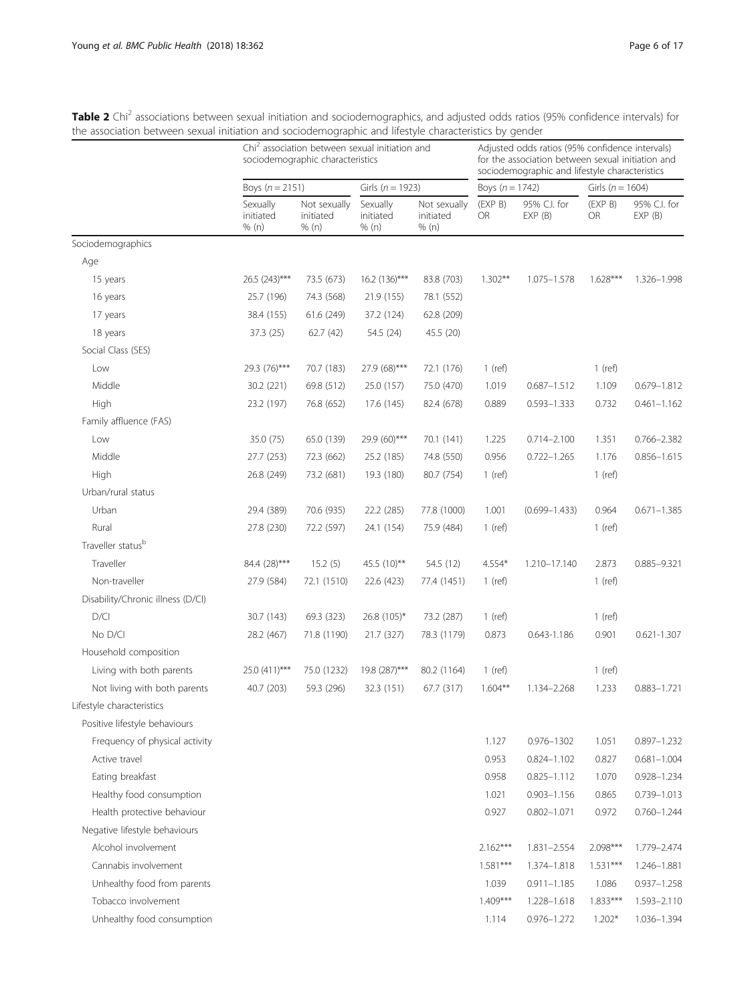|                                   | Chi <sup>2</sup> association between sexual initiation and<br>sociodemographic characteristics |                                    |                                |                                    | Adjusted odds ratios (95% confidence intervals)<br>for the association between sexual initiation and<br>sociodemographic and lifestyle characteristics |                        |                      |                        |
|-----------------------------------|------------------------------------------------------------------------------------------------|------------------------------------|--------------------------------|------------------------------------|--------------------------------------------------------------------------------------------------------------------------------------------------------|------------------------|----------------------|------------------------|
|                                   | Boys $(n = 2151)$                                                                              |                                    | Girls ( $n = 1923$ )           |                                    | Boys $(n = 1742)$                                                                                                                                      |                        | Girls ( $n = 1604$ ) |                        |
|                                   | Sexually<br>initiated<br>% (n)                                                                 | Not sexually<br>initiated<br>% (n) | Sexually<br>initiated<br>% (n) | Not sexually<br>initiated<br>% (n) | (EXP B)<br><b>OR</b>                                                                                                                                   | 95% C.I. for<br>EXP(B) | (EXP B)<br><b>OR</b> | 95% C.I. for<br>EXP(B) |
| Sociodemographics                 |                                                                                                |                                    |                                |                                    |                                                                                                                                                        |                        |                      |                        |
| Age                               |                                                                                                |                                    |                                |                                    |                                                                                                                                                        |                        |                      |                        |
| 15 years                          | 26.5 (243)***                                                                                  | 73.5 (673)                         | $16.2$ (136)***                | 83.8 (703)                         | $1.302**$                                                                                                                                              | 1.075-1.578            | $1.628***$           | 1.326-1.998            |
| 16 years                          | 25.7 (196)                                                                                     | 74.3 (568)                         | 21.9 (155)                     | 78.1 (552)                         |                                                                                                                                                        |                        |                      |                        |
| 17 years                          | 38.4 (155)                                                                                     | 61.6 (249)                         | 37.2 (124)                     | 62.8 (209)                         |                                                                                                                                                        |                        |                      |                        |
| 18 years                          | 37.3 (25)                                                                                      | 62.7(42)                           | 54.5 (24)                      | 45.5 (20)                          |                                                                                                                                                        |                        |                      |                        |
| Social Class (SES)                |                                                                                                |                                    |                                |                                    |                                                                                                                                                        |                        |                      |                        |
| Low                               | 29.3 (76)***                                                                                   | 70.7 (183)                         | 27.9 (68)***                   | 72.1 (176)                         | $1$ (ref)                                                                                                                                              |                        | $1$ (ref)            |                        |
| Middle                            | 30.2 (221)                                                                                     | 69.8 (512)                         | 25.0 (157)                     | 75.0 (470)                         | 1.019                                                                                                                                                  | $0.687 - 1.512$        | 1.109                | 0.679-1.812            |
| High                              | 23.2 (197)                                                                                     | 76.8 (652)                         | 17.6 (145)                     | 82.4 (678)                         | 0.889                                                                                                                                                  | $0.593 - 1.333$        | 0.732                | $0.461 - 1.162$        |
| Family affluence (FAS)            |                                                                                                |                                    |                                |                                    |                                                                                                                                                        |                        |                      |                        |
| Low                               | 35.0 (75)                                                                                      | 65.0 (139)                         | 29.9 (60)***                   | 70.1 (141)                         | 1.225                                                                                                                                                  | $0.714 - 2.100$        | 1.351                | $0.766 - 2.382$        |
| Middle                            | 27.7 (253)                                                                                     | 72.3 (662)                         | 25.2 (185)                     | 74.8 (550)                         | 0.956                                                                                                                                                  | $0.722 - 1.265$        | 1.176                | $0.856 - 1.615$        |
| <b>High</b>                       | 26.8 (249)                                                                                     | 73.2 (681)                         | 19.3 (180)                     | 80.7 (754)                         | $1$ (ref)                                                                                                                                              |                        | $1$ (ref)            |                        |
| Urban/rural status                |                                                                                                |                                    |                                |                                    |                                                                                                                                                        |                        |                      |                        |
| Urban                             | 29.4 (389)                                                                                     | 70.6 (935)                         | 22.2 (285)                     | 77.8 (1000)                        | 1.001                                                                                                                                                  | $(0.699 - 1.433)$      | 0.964                | $0.671 - 1.385$        |
| Rural                             | 27.8 (230)                                                                                     | 72.2 (597)                         | 24.1 (154)                     | 75.9 (484)                         | $1$ (ref)                                                                                                                                              |                        | $1$ (ref)            |                        |
| Traveller statusb                 |                                                                                                |                                    |                                |                                    |                                                                                                                                                        |                        |                      |                        |
| Traveller                         | 84.4 (28)***                                                                                   | 15.2(5)                            | 45.5 $(10)$ **                 | 54.5 (12)                          | 4.554*                                                                                                                                                 | 1.210-17.140           | 2.873                | 0.885-9.321            |
| Non-traveller                     | 27.9 (584)                                                                                     | 72.1 (1510)                        | 22.6 (423)                     | 77.4 (1451)                        | $1$ (ref)                                                                                                                                              |                        | 1 $(ref)$            |                        |
| Disability/Chronic illness (D/Cl) |                                                                                                |                                    |                                |                                    |                                                                                                                                                        |                        |                      |                        |
| D/CI                              | 30.7 (143)                                                                                     | 69.3 (323)                         | $26.8(105)^*$                  | 73.2 (287)                         | $1$ (ref)                                                                                                                                              |                        | $1$ (ref)            |                        |
| No D/Cl                           | 28.2 (467)                                                                                     | 71.8 (1190)                        | 21.7 (327)                     | 78.3 (1179)                        | 0.873                                                                                                                                                  | 0.643-1.186            | 0.901                | $0.621 - 1.307$        |
| Household composition             |                                                                                                |                                    |                                |                                    |                                                                                                                                                        |                        |                      |                        |
| Living with both parents          | 25.0 (411)***                                                                                  | 75.0 (1232)                        | 19.8 (287)***                  | 80.2 (1164)                        | 1 (ref)                                                                                                                                                |                        | 1 (ref)              |                        |
| Not living with both parents      | 40.7 (203)                                                                                     | 59.3 (296)                         | 32.3 (151)                     | 67.7 (317)                         | $1.604***$                                                                                                                                             | 1.134-2.268            | 1.233                | $0.883 - 1.721$        |
| Lifestyle characteristics         |                                                                                                |                                    |                                |                                    |                                                                                                                                                        |                        |                      |                        |
| Positive lifestyle behaviours     |                                                                                                |                                    |                                |                                    |                                                                                                                                                        |                        |                      |                        |
| Frequency of physical activity    |                                                                                                |                                    |                                |                                    | 1.127                                                                                                                                                  | 0.976-1302             | 1.051                | $0.897 - 1.232$        |
| Active travel                     |                                                                                                |                                    |                                |                                    | 0.953                                                                                                                                                  | $0.824 - 1.102$        | 0.827                | $0.681 - 1.004$        |
| Eating breakfast                  |                                                                                                |                                    |                                |                                    | 0.958                                                                                                                                                  | $0.825 - 1.112$        | 1.070                | $0.928 - 1.234$        |
| Healthy food consumption          |                                                                                                |                                    |                                |                                    | 1.021                                                                                                                                                  | $0.903 - 1.156$        | 0.865                | 0.739-1.013            |
| Health protective behaviour       |                                                                                                |                                    |                                |                                    | 0.927                                                                                                                                                  | $0.802 - 1.071$        | 0.972                | $0.760 - 1.244$        |
| Negative lifestyle behaviours     |                                                                                                |                                    |                                |                                    |                                                                                                                                                        |                        |                      |                        |
| Alcohol involvement               |                                                                                                |                                    |                                |                                    | $2.162***$                                                                                                                                             | 1.831-2.554            | 2.098***             | 1.779-2.474            |
| Cannabis involvement              |                                                                                                |                                    |                                |                                    | $1.581***$                                                                                                                                             | 1.374-1.818            | $1.531***$           | 1.246-1.881            |
| Unhealthy food from parents       |                                                                                                |                                    |                                |                                    | 1.039                                                                                                                                                  | $0.911 - 1.185$        | 1.086                | $0.937 - 1.258$        |
| Tobacco involvement               |                                                                                                |                                    |                                |                                    | $1.409***$                                                                                                                                             | 1.228-1.618            | $1.833***$           | 1.593-2.110            |
| Unhealthy food consumption        |                                                                                                |                                    |                                |                                    | 1.114                                                                                                                                                  | $0.976 - 1.272$        | $1.202*$             | 1.036-1.394            |

# <span id="page-5-0"></span>Table 2 Chi<sup>2</sup> associations between sexual initiation and sociodemographics, and adjusted odds ratios (95% confidence intervals) for the association between sexual initiation and sociodemographic and lifestyle characteristics by gender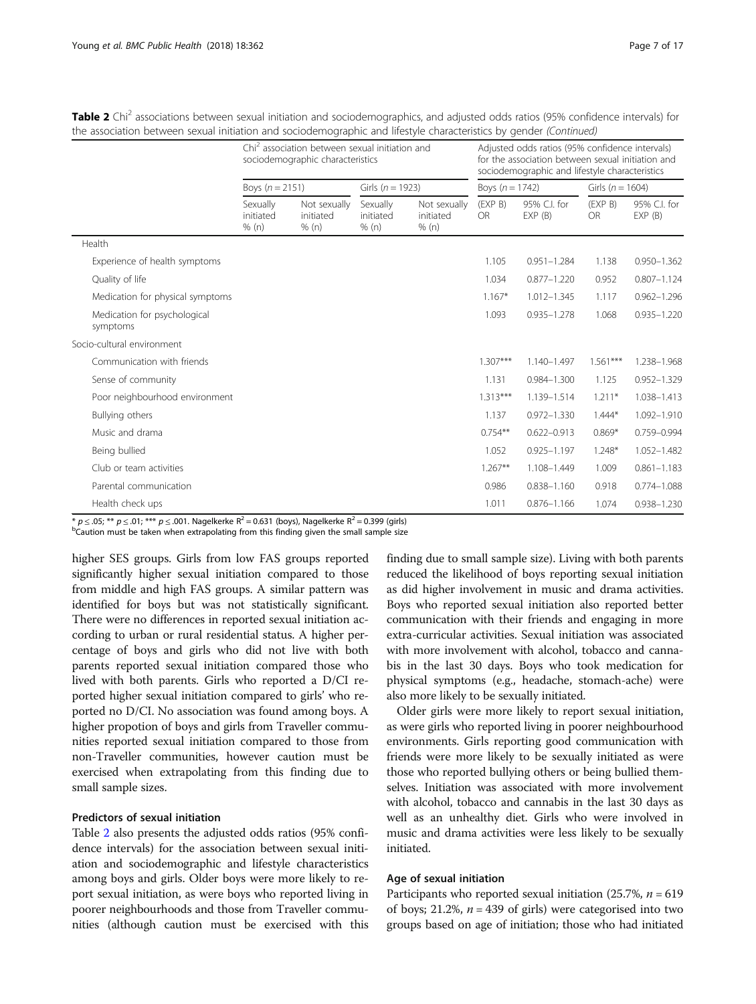|                                          | Chi <sup>2</sup> association between sexual initiation and<br>sociodemographic characteristics |                                    |                                |                                    | Adjusted odds ratios (95% confidence intervals)<br>for the association between sexual initiation and<br>sociodemographic and lifestyle characteristics |                        |                      |                        |
|------------------------------------------|------------------------------------------------------------------------------------------------|------------------------------------|--------------------------------|------------------------------------|--------------------------------------------------------------------------------------------------------------------------------------------------------|------------------------|----------------------|------------------------|
|                                          | Boys $(n = 2151)$                                                                              |                                    | Girls ( $n = 1923$ )           |                                    | Boys $(n = 1742)$                                                                                                                                      |                        | Girls ( $n = 1604$ ) |                        |
|                                          | Sexually<br>initiated<br>% (n)                                                                 | Not sexually<br>initiated<br>% (n) | Sexually<br>initiated<br>% (n) | Not sexually<br>initiated<br>% (n) | (EXP B)<br>OR.                                                                                                                                         | 95% C.I. for<br>EXP(B) | (EXP B)<br><b>OR</b> | 95% C.I. for<br>EXP(B) |
| Health                                   |                                                                                                |                                    |                                |                                    |                                                                                                                                                        |                        |                      |                        |
| Experience of health symptoms            |                                                                                                |                                    |                                |                                    | 1.105                                                                                                                                                  | $0.951 - 1.284$        | 1.138                | $0.950 - 1.362$        |
| Quality of life                          |                                                                                                |                                    |                                |                                    | 1.034                                                                                                                                                  | $0.877 - 1.220$        | 0.952                | $0.807 - 1.124$        |
| Medication for physical symptoms         |                                                                                                |                                    |                                |                                    | $1.167*$                                                                                                                                               | 1.012-1.345            | 1.117                | $0.962 - 1.296$        |
| Medication for psychological<br>symptoms |                                                                                                |                                    |                                |                                    | 1.093                                                                                                                                                  | $0.935 - 1.278$        | 1.068                | $0.935 - 1.220$        |
| Socio-cultural environment               |                                                                                                |                                    |                                |                                    |                                                                                                                                                        |                        |                      |                        |
| Communication with friends               |                                                                                                |                                    |                                |                                    | $1.307***$                                                                                                                                             | 1.140-1.497            | $1.561***$           | 1.238-1.968            |
| Sense of community                       |                                                                                                |                                    |                                |                                    | 1.131                                                                                                                                                  | $0.984 - 1.300$        | 1.125                | $0.952 - 1.329$        |
| Poor neighbourhood environment           |                                                                                                |                                    |                                |                                    | $1.313***$                                                                                                                                             | 1.139-1.514            | $1.211*$             | 1.038-1.413            |
| Bullying others                          |                                                                                                |                                    |                                |                                    | 1.137                                                                                                                                                  | $0.972 - 1.330$        | $1.444*$             | 1.092-1.910            |
| Music and drama                          |                                                                                                |                                    |                                |                                    | $0.754***$                                                                                                                                             | $0.622 - 0.913$        | $0.869*$             | 0.759-0.994            |
| Being bullied                            |                                                                                                |                                    |                                |                                    | 1.052                                                                                                                                                  | $0.925 - 1.197$        | $1.248*$             | 1.052-1.482            |
| Club or team activities                  |                                                                                                |                                    |                                |                                    | $1.267**$                                                                                                                                              | 1.108-1.449            | 1.009                | $0.861 - 1.183$        |
| Parental communication                   |                                                                                                |                                    |                                |                                    | 0.986                                                                                                                                                  | $0.838 - 1.160$        | 0.918                | 0.774-1.088            |
| Health check ups                         |                                                                                                |                                    |                                |                                    | 1.011                                                                                                                                                  | $0.876 - 1.166$        | 1.074                | 0.938-1.230            |

Table 2 Chi<sup>2</sup> associations between sexual initiation and sociodemographics, and adjusted odds ratios (95% confidence intervals) for the association between sexual initiation and sociodemographic and lifestyle characteristics by gender (Continued)

\*  $p \le 0.05$ ; \*\*  $p \le 0.01$ ; \*\*\*  $p \le 0.001$ . Nagelkerke  $R^2 = 0.631$  (boys), Nagelkerke  $R^2 = 0.399$  (girls)

<sup>b</sup>Caution must be taken when extrapolating from this finding given the small sample size

higher SES groups. Girls from low FAS groups reported significantly higher sexual initiation compared to those from middle and high FAS groups. A similar pattern was identified for boys but was not statistically significant. There were no differences in reported sexual initiation according to urban or rural residential status. A higher percentage of boys and girls who did not live with both parents reported sexual initiation compared those who lived with both parents. Girls who reported a D/CI reported higher sexual initiation compared to girls' who reported no D/CI. No association was found among boys. A higher propotion of boys and girls from Traveller communities reported sexual initiation compared to those from non-Traveller communities, however caution must be exercised when extrapolating from this finding due to small sample sizes.

## Predictors of sexual initiation

Table [2](#page-5-0) also presents the adjusted odds ratios (95% confidence intervals) for the association between sexual initiation and sociodemographic and lifestyle characteristics among boys and girls. Older boys were more likely to report sexual initiation, as were boys who reported living in poorer neighbourhoods and those from Traveller communities (although caution must be exercised with this

finding due to small sample size). Living with both parents reduced the likelihood of boys reporting sexual initiation as did higher involvement in music and drama activities. Boys who reported sexual initiation also reported better communication with their friends and engaging in more extra-curricular activities. Sexual initiation was associated with more involvement with alcohol, tobacco and cannabis in the last 30 days. Boys who took medication for physical symptoms (e.g., headache, stomach-ache) were also more likely to be sexually initiated.

Older girls were more likely to report sexual initiation, as were girls who reported living in poorer neighbourhood environments. Girls reporting good communication with friends were more likely to be sexually initiated as were those who reported bullying others or being bullied themselves. Initiation was associated with more involvement with alcohol, tobacco and cannabis in the last 30 days as well as an unhealthy diet. Girls who were involved in music and drama activities were less likely to be sexually initiated.

## Age of sexual initiation

Participants who reported sexual initiation (25.7%,  $n = 619$ ) of boys; 21.2%,  $n = 439$  of girls) were categorised into two groups based on age of initiation; those who had initiated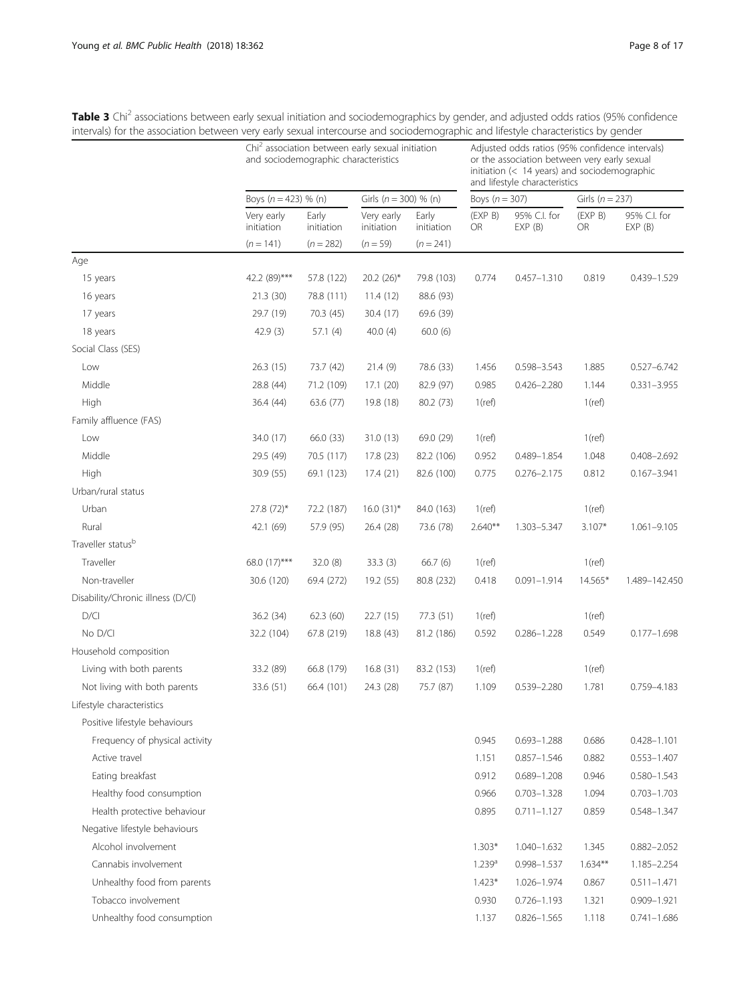|                                   | Chi <sup>2</sup> association between early sexual initiation<br>and sociodemographic characteristics |                     |                          |                     | Adjusted odds ratios (95% confidence intervals)<br>or the association between very early sexual<br>initiation (< 14 years) and sociodemographic<br>and lifestyle characteristics |                        |                     |                        |  |
|-----------------------------------|------------------------------------------------------------------------------------------------------|---------------------|--------------------------|---------------------|----------------------------------------------------------------------------------------------------------------------------------------------------------------------------------|------------------------|---------------------|------------------------|--|
|                                   | Boys $(n = 423)$ % $(n)$                                                                             |                     | Girls $(n = 300)$ % (n)  |                     | Boys $(n = 307)$                                                                                                                                                                 |                        | Girls ( $n = 237$ ) |                        |  |
|                                   | Very early<br>initiation                                                                             | Early<br>initiation | Very early<br>initiation | Early<br>initiation | (EXP B)<br>OR                                                                                                                                                                    | 95% C.I. for<br>EXP(B) | (EXP B)<br>OR       | 95% C.I. for<br>EXP(B) |  |
|                                   | $(n = 141)$                                                                                          | $(n = 282)$         | $(n = 59)$               | $(n = 241)$         |                                                                                                                                                                                  |                        |                     |                        |  |
| Age                               |                                                                                                      |                     |                          |                     |                                                                                                                                                                                  |                        |                     |                        |  |
| 15 years                          | 42.2 (89)***                                                                                         | 57.8 (122)          | $20.2(26)$ *             | 79.8 (103)          | 0.774                                                                                                                                                                            | $0.457 - 1.310$        | 0.819               | 0.439-1.529            |  |
| 16 years                          | 21.3(30)                                                                                             | 78.8 (111)          | 11.4(12)                 | 88.6 (93)           |                                                                                                                                                                                  |                        |                     |                        |  |
| 17 years                          | 29.7 (19)                                                                                            | 70.3(45)            | 30.4 (17)                | 69.6 (39)           |                                                                                                                                                                                  |                        |                     |                        |  |
| 18 years                          | 42.9(3)                                                                                              | 57.1(4)             | 40.0(4)                  | 60.0(6)             |                                                                                                                                                                                  |                        |                     |                        |  |
| Social Class (SES)                |                                                                                                      |                     |                          |                     |                                                                                                                                                                                  |                        |                     |                        |  |
| Low                               | 26.3(15)                                                                                             | 73.7 (42)           | 21.4(9)                  | 78.6 (33)           | 1.456                                                                                                                                                                            | 0.598-3.543            | 1.885               | 0.527-6.742            |  |
| Middle                            | 28.8 (44)                                                                                            | 71.2 (109)          | 17.1 (20)                | 82.9 (97)           | 0.985                                                                                                                                                                            | $0.426 - 2.280$        | 1.144               | $0.331 - 3.955$        |  |
| High                              | 36.4 (44)                                                                                            | 63.6 (77)           | 19.8 (18)                | 80.2 (73)           | $1$ (ref)                                                                                                                                                                        |                        | $1$ (ref)           |                        |  |
| Family affluence (FAS)            |                                                                                                      |                     |                          |                     |                                                                                                                                                                                  |                        |                     |                        |  |
| Low                               | 34.0 (17)                                                                                            | 66.0 (33)           | 31.0 (13)                | 69.0 (29)           | $1$ (ref)                                                                                                                                                                        |                        | $1$ (ref)           |                        |  |
| Middle                            | 29.5 (49)                                                                                            | 70.5 (117)          | 17.8 (23)                | 82.2 (106)          | 0.952                                                                                                                                                                            | 0.489-1.854            | 1.048               | $0.408 - 2.692$        |  |
| High                              | 30.9 (55)                                                                                            | 69.1 (123)          | 17.4(21)                 | 82.6 (100)          | 0.775                                                                                                                                                                            | $0.276 - 2.175$        | 0.812               | $0.167 - 3.941$        |  |
| Urban/rural status                |                                                                                                      |                     |                          |                     |                                                                                                                                                                                  |                        |                     |                        |  |
| Urban                             | $27.8(72)$ *                                                                                         | 72.2 (187)          | $16.0(31)*$              | 84.0 (163)          | $1$ (ref)                                                                                                                                                                        |                        | $1$ (ref)           |                        |  |
| Rural                             | 42.1 (69)                                                                                            | 57.9 (95)           | 26.4 (28)                | 73.6 (78)           | $2.640**$                                                                                                                                                                        | 1.303-5.347            | $3.107*$            | 1.061-9.105            |  |
| Traveller statusb                 |                                                                                                      |                     |                          |                     |                                                                                                                                                                                  |                        |                     |                        |  |
| Traveller                         | 68.0 (17)***                                                                                         | 32.0(8)             | 33.3(3)                  | 66.7(6)             | $1$ (ref)                                                                                                                                                                        |                        | $1$ (ref)           |                        |  |
| Non-traveller                     | 30.6 (120)                                                                                           | 69.4 (272)          | 19.2 (55)                | 80.8 (232)          | 0.418                                                                                                                                                                            | $0.091 - 1.914$        | 14.565*             | 1.489-142.450          |  |
| Disability/Chronic illness (D/CI) |                                                                                                      |                     |                          |                     |                                                                                                                                                                                  |                        |                     |                        |  |
| D/CI                              | 36.2(34)                                                                                             | 62.3(60)            | 22.7 (15)                | 77.3 (51)           | $1$ (ref)                                                                                                                                                                        |                        | $1$ (ref)           |                        |  |
| No D/Cl                           | 32.2 (104)                                                                                           | 67.8 (219)          | 18.8(43)                 | 81.2 (186)          | 0.592                                                                                                                                                                            | $0.286 - 1.228$        | 0.549               | $0.177 - 1.698$        |  |
| Household composition             |                                                                                                      |                     |                          |                     |                                                                                                                                                                                  |                        |                     |                        |  |
| Living with both parents          | 33.2 (89)                                                                                            | 66.8 (179)          | 16.8(31)                 | 83.2 (153)          | $1$ (ref)                                                                                                                                                                        |                        | $1$ (ref)           |                        |  |
| Not living with both parents      | 33.6 (51)                                                                                            | 66.4 (101)          | 24.3 (28)                | 75.7 (87)           | 1.109                                                                                                                                                                            | 0.539-2.280            | 1.781               | 0.759-4.183            |  |
| Lifestyle characteristics         |                                                                                                      |                     |                          |                     |                                                                                                                                                                                  |                        |                     |                        |  |
| Positive lifestyle behaviours     |                                                                                                      |                     |                          |                     |                                                                                                                                                                                  |                        |                     |                        |  |
| Frequency of physical activity    |                                                                                                      |                     |                          |                     | 0.945                                                                                                                                                                            | $0.693 - 1.288$        | 0.686               | $0.428 - 1.101$        |  |
| Active travel                     |                                                                                                      |                     |                          |                     | 1.151                                                                                                                                                                            | $0.857 - 1.546$        | 0.882               | $0.553 - 1.407$        |  |
| Eating breakfast                  |                                                                                                      |                     |                          |                     | 0.912                                                                                                                                                                            | $0.689 - 1.208$        | 0.946               | $0.580 - 1.543$        |  |
| Healthy food consumption          |                                                                                                      |                     |                          |                     | 0.966                                                                                                                                                                            | $0.703 - 1.328$        | 1.094               | $0.703 - 1.703$        |  |
| Health protective behaviour       |                                                                                                      |                     |                          |                     | 0.895                                                                                                                                                                            | $0.711 - 1.127$        | 0.859               | $0.548 - 1.347$        |  |
| Negative lifestyle behaviours     |                                                                                                      |                     |                          |                     |                                                                                                                                                                                  |                        |                     |                        |  |
| Alcohol involvement               |                                                                                                      |                     |                          |                     | $1.303*$                                                                                                                                                                         | 1.040-1.632            | 1.345               | $0.882 - 2.052$        |  |
| Cannabis involvement              |                                                                                                      |                     |                          |                     | 1.239 <sup>a</sup>                                                                                                                                                               | 0.998-1.537            | $1.634**$           | 1.185-2.254            |  |
| Unhealthy food from parents       |                                                                                                      |                     |                          |                     | $1.423*$                                                                                                                                                                         | 1.026-1.974            | 0.867               | $0.511 - 1.471$        |  |
| Tobacco involvement               |                                                                                                      |                     |                          |                     | 0.930                                                                                                                                                                            | $0.726 - 1.193$        | 1.321               | 0.909-1.921            |  |
| Unhealthy food consumption        |                                                                                                      |                     |                          |                     | 1.137                                                                                                                                                                            | $0.826 - 1.565$        | 1.118               | $0.741 - 1.686$        |  |

<span id="page-7-0"></span>Table 3 Chi<sup>2</sup> associations between early sexual initiation and sociodemographics by gender, and adjusted odds ratios (95% confidence intervals) for the association between very early sexual intercourse and sociodemographic and lifestyle characteristics by gender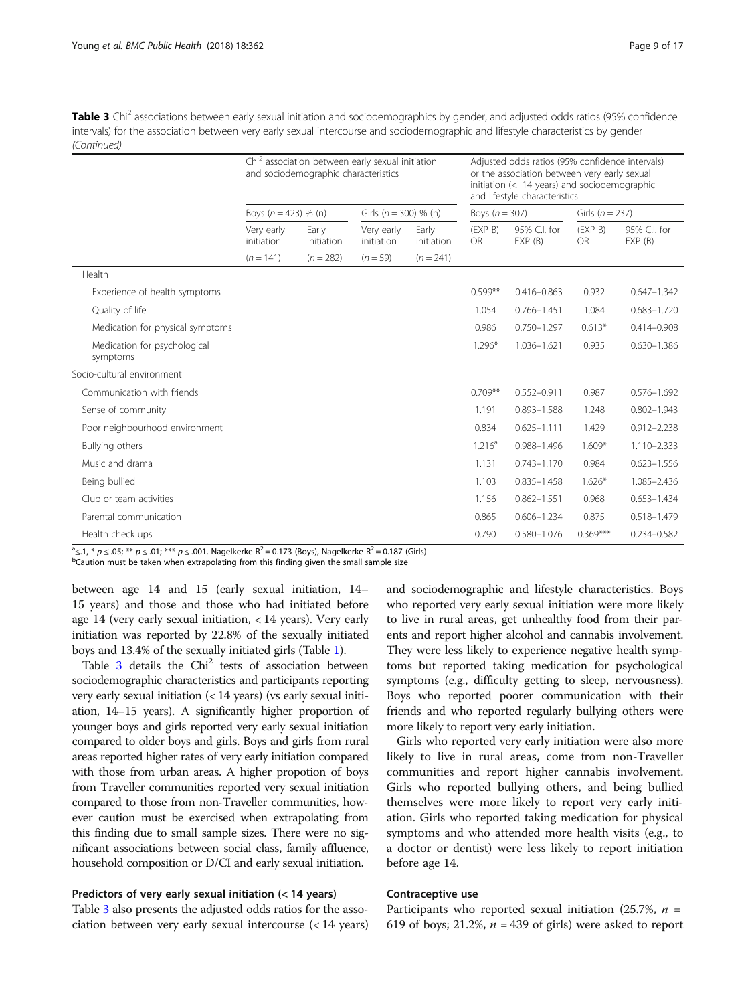Table 3 Chi<sup>2</sup> associations between early sexual initiation and sociodemographics by gender, and adjusted odds ratios (95% confidence intervals) for the association between very early sexual intercourse and sociodemographic and lifestyle characteristics by gender (Continued)

|                                          | Chi <sup>2</sup> association between early sexual initiation<br>and sociodemographic characteristics |                     |                          |                           | Adjusted odds ratios (95% confidence intervals)<br>or the association between very early sexual<br>initiation (< 14 years) and sociodemographic<br>and lifestyle characteristics |                        |                      |                        |  |
|------------------------------------------|------------------------------------------------------------------------------------------------------|---------------------|--------------------------|---------------------------|----------------------------------------------------------------------------------------------------------------------------------------------------------------------------------|------------------------|----------------------|------------------------|--|
|                                          | Boys $(n = 423)$ % $(n)$                                                                             |                     |                          | Girls ( $n = 300$ ) % (n) |                                                                                                                                                                                  | Boys $(n = 307)$       |                      | Girls $(n = 237)$      |  |
|                                          | Very early<br>initiation                                                                             | Early<br>initiation | Very early<br>initiation | Early<br>initiation       | (EXP B)<br><b>OR</b>                                                                                                                                                             | 95% C.I. for<br>EXP(B) | (EXP B)<br><b>OR</b> | 95% C.I. for<br>EXP(B) |  |
|                                          | $(n = 141)$                                                                                          | $(n = 282)$         | $(n = 59)$               | $(n = 241)$               |                                                                                                                                                                                  |                        |                      |                        |  |
| Health                                   |                                                                                                      |                     |                          |                           |                                                                                                                                                                                  |                        |                      |                        |  |
| Experience of health symptoms            |                                                                                                      |                     |                          |                           | $0.599**$                                                                                                                                                                        | $0.416 - 0.863$        | 0.932                | $0.647 - 1.342$        |  |
| Quality of life                          |                                                                                                      |                     |                          |                           | 1.054                                                                                                                                                                            | $0.766 - 1.451$        | 1.084                | $0.683 - 1.720$        |  |
| Medication for physical symptoms         |                                                                                                      |                     |                          |                           | 0.986                                                                                                                                                                            | $0.750 - 1.297$        | $0.613*$             | $0.414 - 0.908$        |  |
| Medication for psychological<br>symptoms |                                                                                                      |                     |                          |                           | $1.296*$                                                                                                                                                                         | 1.036-1.621            | 0.935                | $0.630 - 1.386$        |  |
| Socio-cultural environment               |                                                                                                      |                     |                          |                           |                                                                                                                                                                                  |                        |                      |                        |  |
| Communication with friends               |                                                                                                      |                     |                          |                           | $0.709**$                                                                                                                                                                        | $0.552 - 0.911$        | 0.987                | $0.576 - 1.692$        |  |
| Sense of community                       |                                                                                                      |                     |                          |                           | 1.191                                                                                                                                                                            | $0.893 - 1.588$        | 1.248                | $0.802 - 1.943$        |  |
| Poor neighbourhood environment           |                                                                                                      |                     |                          |                           | 0.834                                                                                                                                                                            | $0.625 - 1.111$        | 1.429                | $0.912 - 2.238$        |  |
| Bullying others                          |                                                                                                      |                     |                          |                           | 1.216 <sup>a</sup>                                                                                                                                                               | 0.988-1.496            | $1.609*$             | 1.110-2.333            |  |
| Music and drama                          |                                                                                                      |                     |                          |                           | 1.131                                                                                                                                                                            | $0.743 - 1.170$        | 0.984                | $0.623 - 1.556$        |  |
| Being bullied                            |                                                                                                      |                     |                          |                           | 1.103                                                                                                                                                                            | $0.835 - 1.458$        | $1.626*$             | 1.085-2.436            |  |
| Club or team activities                  |                                                                                                      |                     |                          |                           | 1.156                                                                                                                                                                            | $0.862 - 1.551$        | 0.968                | $0.653 - 1.434$        |  |
| Parental communication                   |                                                                                                      |                     |                          |                           | 0.865                                                                                                                                                                            | $0.606 - 1.234$        | 0.875                | $0.518 - 1.479$        |  |
| Health check ups                         |                                                                                                      |                     |                          |                           | 0.790                                                                                                                                                                            | $0.580 - 1.076$        | $0.369***$           | 0.234-0.582            |  |

<sup>a</sup> $\leq$ .1, \* p  $\leq$  .05; \*\* p  $\leq$  .01; \*\*\* p  $\leq$  .001. Nagelkerke R<sup>2</sup> = 0.173 (Boys), Nagelkerke R<sup>2</sup> = 0.187 (Girls)<br><sup>b</sup>Caution must be taken when extranolating from this finding given the small sample size

<sup>b</sup>Caution must be taken when extrapolating from this finding given the small sample size

between age 14 and 15 (early sexual initiation, 14– 15 years) and those and those who had initiated before age 14 (very early sexual initiation, < 14 years). Very early initiation was reported by 22.8% of the sexually initiated boys and 13.4% of the sexually initiated girls (Table [1\)](#page-4-0).

Table  $3$  details the Chi<sup>2</sup> tests of association between sociodemographic characteristics and participants reporting very early sexual initiation (< 14 years) (vs early sexual initiation, 14–15 years). A significantly higher proportion of younger boys and girls reported very early sexual initiation compared to older boys and girls. Boys and girls from rural areas reported higher rates of very early initiation compared with those from urban areas. A higher propotion of boys from Traveller communities reported very sexual initiation compared to those from non-Traveller communities, however caution must be exercised when extrapolating from this finding due to small sample sizes. There were no significant associations between social class, family affluence, household composition or D/CI and early sexual initiation.

## Predictors of very early sexual initiation (< 14 years)

Table [3](#page-7-0) also presents the adjusted odds ratios for the association between very early sexual intercourse (< 14 years) and sociodemographic and lifestyle characteristics. Boys who reported very early sexual initiation were more likely to live in rural areas, get unhealthy food from their parents and report higher alcohol and cannabis involvement. They were less likely to experience negative health symptoms but reported taking medication for psychological symptoms (e.g., difficulty getting to sleep, nervousness). Boys who reported poorer communication with their friends and who reported regularly bullying others were more likely to report very early initiation.

Girls who reported very early initiation were also more likely to live in rural areas, come from non-Traveller communities and report higher cannabis involvement. Girls who reported bullying others, and being bullied themselves were more likely to report very early initiation. Girls who reported taking medication for physical symptoms and who attended more health visits (e.g., to a doctor or dentist) were less likely to report initiation before age 14.

## Contraceptive use

Participants who reported sexual initiation (25.7%,  $n =$ 619 of boys; 21.2%,  $n = 439$  of girls) were asked to report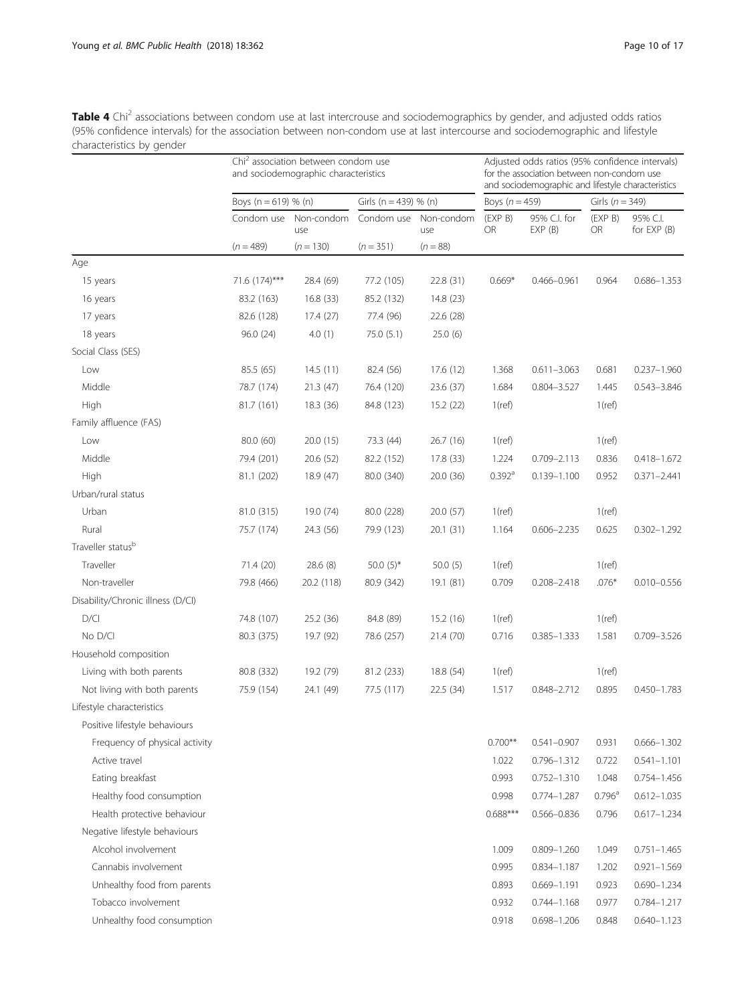<span id="page-9-0"></span>Table 4 Chi<sup>2</sup> associations between condom use at last intercrouse and sociodemographics by gender, and adjusted odds ratios (95% confidence intervals) for the association between non-condom use at last intercourse and sociodemographic and lifestyle characteristics by gender

|                                   | Chi <sup>2</sup> association between condom use<br>and sociodemographic characteristics |                   |                               |                   | Adjusted odds ratios (95% confidence intervals)<br>for the association between non-condom use<br>and sociodemographic and lifestyle characteristics |                        |                      |                         |
|-----------------------------------|-----------------------------------------------------------------------------------------|-------------------|-------------------------------|-------------------|-----------------------------------------------------------------------------------------------------------------------------------------------------|------------------------|----------------------|-------------------------|
|                                   | Boys ( $n = 619$ ) % (n)                                                                |                   | Girls ( $n = 439$ ) % ( $n$ ) |                   | Boys ( $n = 459$ )                                                                                                                                  |                        | Girls ( $n = 349$ )  |                         |
|                                   | Condom use                                                                              | Non-condom<br>use | Condom use                    | Non-condom<br>use | (EXP B)<br>OR                                                                                                                                       | 95% C.I. for<br>EXP(B) | (EXP B)<br><b>OR</b> | 95% C.I.<br>for EXP (B) |
|                                   | $(n = 489)$                                                                             | $(n = 130)$       | $(n = 351)$                   | $(n = 88)$        |                                                                                                                                                     |                        |                      |                         |
| Age                               |                                                                                         |                   |                               |                   |                                                                                                                                                     |                        |                      |                         |
| 15 years                          | 71.6 (174)***                                                                           | 28.4 (69)         | 77.2 (105)                    | 22.8 (31)         | $0.669*$                                                                                                                                            | $0.466 - 0.961$        | 0.964                | $0.686 - 1.353$         |
| 16 years                          | 83.2 (163)                                                                              | 16.8(33)          | 85.2 (132)                    | 14.8(23)          |                                                                                                                                                     |                        |                      |                         |
| 17 years                          | 82.6 (128)                                                                              | 17.4(27)          | 77.4 (96)                     | 22.6 (28)         |                                                                                                                                                     |                        |                      |                         |
| 18 years                          | 96.0 (24)                                                                               | 4.0(1)            | 75.0(5.1)                     | 25.0(6)           |                                                                                                                                                     |                        |                      |                         |
| Social Class (SES)                |                                                                                         |                   |                               |                   |                                                                                                                                                     |                        |                      |                         |
| Low                               | 85.5 (65)                                                                               | 14.5(11)          | 82.4 (56)                     | 17.6(12)          | 1.368                                                                                                                                               | $0.611 - 3.063$        | 0.681                | $0.237 - 1.960$         |
| Middle                            | 78.7 (174)                                                                              | 21.3(47)          | 76.4 (120)                    | 23.6 (37)         | 1.684                                                                                                                                               | 0.804-3.527            | 1.445                | $0.543 - 3.846$         |
| High                              | 81.7 (161)                                                                              | 18.3 (36)         | 84.8 (123)                    | 15.2(22)          | $1$ (ref)                                                                                                                                           |                        | $1$ (ref)            |                         |
| Family affluence (FAS)            |                                                                                         |                   |                               |                   |                                                                                                                                                     |                        |                      |                         |
| Low                               | 80.0 (60)                                                                               | 20.0(15)          | 73.3 (44)                     | 26.7 (16)         | $1$ (ref)                                                                                                                                           |                        | $1$ (ref)            |                         |
| Middle                            | 79.4 (201)                                                                              | 20.6(52)          | 82.2 (152)                    | 17.8 (33)         | 1.224                                                                                                                                               | $0.709 - 2.113$        | 0.836                | $0.418 - 1.672$         |
| High                              | 81.1 (202)                                                                              | 18.9(47)          | 80.0 (340)                    | 20.0(36)          | $0.392$ <sup>a</sup>                                                                                                                                | $0.139 - 1.100$        | 0.952                | $0.371 - 2.441$         |
| Urban/rural status                |                                                                                         |                   |                               |                   |                                                                                                                                                     |                        |                      |                         |
| Urban                             | 81.0 (315)                                                                              | 19.0 (74)         | 80.0 (228)                    | 20.0(57)          | $1$ (ref)                                                                                                                                           |                        | $1$ (ref)            |                         |
| Rural                             | 75.7 (174)                                                                              | 24.3 (56)         | 79.9 (123)                    | 20.1(31)          | 1.164                                                                                                                                               | $0.606 - 2.235$        | 0.625                | $0.302 - 1.292$         |
| Traveller status <sup>b</sup>     |                                                                                         |                   |                               |                   |                                                                                                                                                     |                        |                      |                         |
| Traveller                         | 71.4 (20)                                                                               | 28.6(8)           | $50.0(5)$ *                   | 50.0(5)           | $1$ (ref)                                                                                                                                           |                        | $1$ (ref)            |                         |
| Non-traveller                     | 79.8 (466)                                                                              | 20.2 (118)        | 80.9 (342)                    | 19.1 (81)         | 0.709                                                                                                                                               | $0.208 - 2.418$        | $.076*$              | $0.010 - 0.556$         |
| Disability/Chronic illness (D/Cl) |                                                                                         |                   |                               |                   |                                                                                                                                                     |                        |                      |                         |
| D/CI                              | 74.8 (107)                                                                              | 25.2 (36)         | 84.8 (89)                     | 15.2(16)          | $1$ (ref)                                                                                                                                           |                        | $1$ (ref)            |                         |
| No D/Cl                           | 80.3 (375)                                                                              | 19.7 (92)         | 78.6 (257)                    | 21.4 (70)         | 0.716                                                                                                                                               | $0.385 - 1.333$        | 1.581                | $0.709 - 3.526$         |
| Household composition             |                                                                                         |                   |                               |                   |                                                                                                                                                     |                        |                      |                         |
| Living with both parents          | 80.8 (332)                                                                              | 19.2 (79)         | 81.2 (233)                    | 18.8 (54)         | $1$ (ref)                                                                                                                                           |                        | $1$ (ref)            |                         |
| Not living with both parents      | 75.9 (154)                                                                              | 24.1 (49)         | 77.5 (117)                    | 22.5 (34)         | 1.517                                                                                                                                               | $0.848 - 2.712$        | 0.895                | $0.450 - 1.783$         |
| Lifestyle characteristics         |                                                                                         |                   |                               |                   |                                                                                                                                                     |                        |                      |                         |
| Positive lifestyle behaviours     |                                                                                         |                   |                               |                   |                                                                                                                                                     |                        |                      |                         |
| Frequency of physical activity    |                                                                                         |                   |                               |                   | $0.700**$                                                                                                                                           | $0.541 - 0.907$        | 0.931                | $0.666 - 1.302$         |
| Active travel                     |                                                                                         |                   |                               |                   | 1.022                                                                                                                                               | 0.796-1.312            | 0.722                | $0.541 - 1.101$         |
| Eating breakfast                  |                                                                                         |                   |                               |                   | 0.993                                                                                                                                               | $0.752 - 1.310$        | 1.048                | 0.754-1.456             |
| Healthy food consumption          |                                                                                         |                   |                               |                   | 0.998                                                                                                                                               | 0.774-1.287            | $0.796^a$            | $0.612 - 1.035$         |
| Health protective behaviour       |                                                                                         |                   |                               |                   | $0.688***$                                                                                                                                          | 0.566-0.836            | 0.796                | $0.617 - 1.234$         |
| Negative lifestyle behaviours     |                                                                                         |                   |                               |                   |                                                                                                                                                     |                        |                      |                         |
| Alcohol involvement               |                                                                                         |                   |                               |                   | 1.009                                                                                                                                               | $0.809 - 1.260$        | 1.049                | $0.751 - 1.465$         |
| Cannabis involvement              |                                                                                         |                   |                               |                   | 0.995                                                                                                                                               | $0.834 - 1.187$        | 1.202                | $0.921 - 1.569$         |
| Unhealthy food from parents       |                                                                                         |                   |                               |                   | 0.893                                                                                                                                               | $0.669 - 1.191$        | 0.923                | $0.690 - 1.234$         |
| Tobacco involvement               |                                                                                         |                   |                               |                   | 0.932                                                                                                                                               | $0.744 - 1.168$        | 0.977                | 0.784-1.217             |
| Unhealthy food consumption        |                                                                                         |                   |                               |                   | 0.918                                                                                                                                               | $0.698 - 1.206$        | 0.848                | $0.640 - 1.123$         |
|                                   |                                                                                         |                   |                               |                   |                                                                                                                                                     |                        |                      |                         |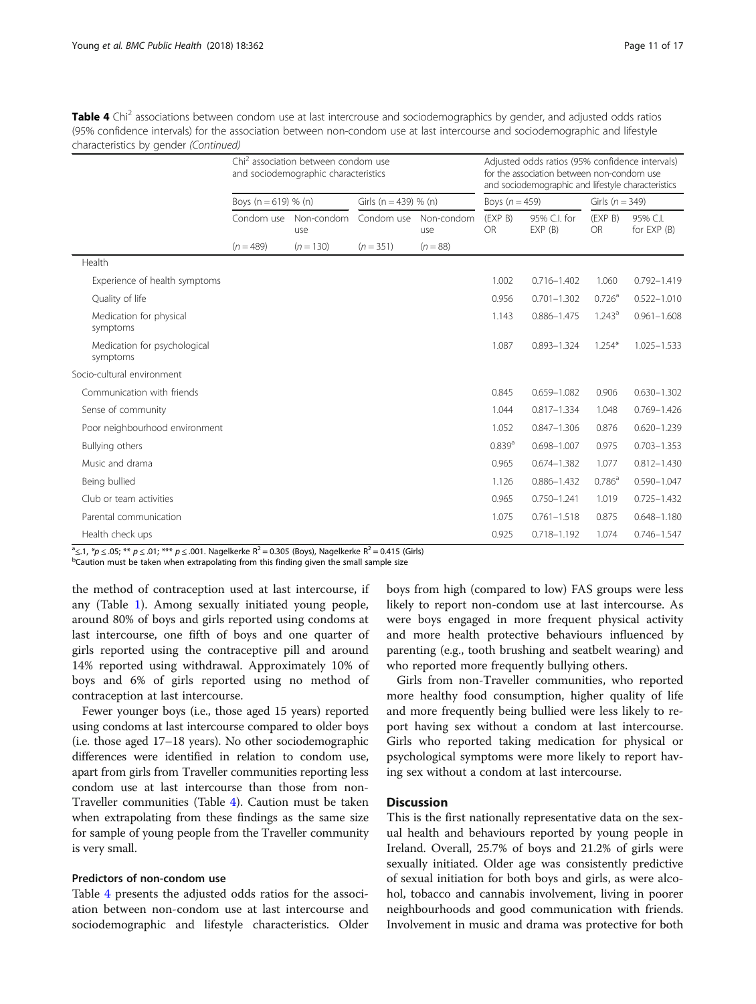Table 4 Chi<sup>2</sup> associations between condom use at last intercrouse and sociodemographics by gender, and adjusted odds ratios (95% confidence intervals) for the association between non-condom use at last intercourse and sociodemographic and lifestyle characteristics by gender (Continued)

|                                          | Chi <sup>2</sup> association between condom use<br>and sociodemographic characteristics |                   |                               |                   | Adjusted odds ratios (95% confidence intervals)<br>for the association between non-condom use<br>and sociodemographic and lifestyle characteristics |                        |                      |                         |
|------------------------------------------|-----------------------------------------------------------------------------------------|-------------------|-------------------------------|-------------------|-----------------------------------------------------------------------------------------------------------------------------------------------------|------------------------|----------------------|-------------------------|
|                                          | Boys ( $n = 619$ ) % (n)                                                                |                   | Girls ( $n = 439$ ) % ( $n$ ) |                   | Boys $(n = 459)$                                                                                                                                    |                        | Girls ( $n = 349$ )  |                         |
|                                          | Condom use                                                                              | Non-condom<br>use | Condom use                    | Non-condom<br>use | (EXP B)<br><b>OR</b>                                                                                                                                | 95% C.I. for<br>EXP(B) | (EXP B)<br><b>OR</b> | 95% C.I.<br>for EXP (B) |
|                                          | $(n = 489)$                                                                             | $(n = 130)$       | $(n = 351)$                   | $(n = 88)$        |                                                                                                                                                     |                        |                      |                         |
| Health                                   |                                                                                         |                   |                               |                   |                                                                                                                                                     |                        |                      |                         |
| Experience of health symptoms            |                                                                                         |                   |                               |                   | 1.002                                                                                                                                               | $0.716 - 1.402$        | 1.060                | $0.792 - 1.419$         |
| Quality of life                          |                                                                                         |                   |                               |                   | 0.956                                                                                                                                               | $0.701 - 1.302$        | 0.726 <sup>a</sup>   | $0.522 - 1.010$         |
| Medication for physical<br>symptoms      |                                                                                         |                   |                               |                   | 1.143                                                                                                                                               | $0.886 - 1.475$        | $1.243^a$            | $0.961 - 1.608$         |
| Medication for psychological<br>symptoms |                                                                                         |                   |                               |                   | 1.087                                                                                                                                               | $0.893 - 1.324$        | $1.254*$             | $1.025 - 1.533$         |
| Socio-cultural environment               |                                                                                         |                   |                               |                   |                                                                                                                                                     |                        |                      |                         |
| Communication with friends               |                                                                                         |                   |                               |                   | 0.845                                                                                                                                               | $0.659 - 1.082$        | 0.906                | $0.630 - 1.302$         |
| Sense of community                       |                                                                                         |                   |                               |                   | 1.044                                                                                                                                               | $0.817 - 1.334$        | 1.048                | $0.769 - 1.426$         |
| Poor neighbourhood environment           |                                                                                         |                   |                               |                   | 1.052                                                                                                                                               | $0.847 - 1.306$        | 0.876                | $0.620 - 1.239$         |
| Bullying others                          |                                                                                         |                   |                               |                   | $0.839$ <sup>a</sup>                                                                                                                                | $0.698 - 1.007$        | 0.975                | $0.703 - 1.353$         |
| Music and drama                          |                                                                                         |                   |                               |                   | 0.965                                                                                                                                               | $0.674 - 1.382$        | 1.077                | $0.812 - 1.430$         |
| Being bullied                            |                                                                                         |                   |                               |                   | 1.126                                                                                                                                               | $0.886 - 1.432$        | $0.786^{\text{a}}$   | $0.590 - 1.047$         |
| Club or team activities                  |                                                                                         |                   |                               |                   | 0.965                                                                                                                                               | $0.750 - 1.241$        | 1.019                | $0.725 - 1.432$         |
| Parental communication                   |                                                                                         |                   |                               |                   | 1.075                                                                                                                                               | $0.761 - 1.518$        | 0.875                | $0.648 - 1.180$         |
| Health check ups                         |                                                                                         |                   |                               |                   | 0.925                                                                                                                                               | $0.718 - 1.192$        | 1.074                | $0.746 - 1.547$         |

<sup>a</sup>≤.1, \*p ≤ .05; \*\* p ≤ .01; \*\*\* p ≤ .001. Nagelkerke R<sup>2</sup> = 0.305 (Boys), Nagelkerke R<sup>2</sup> = 0.415 (Girls)<br><sup>b</sup>Caution must be taken when extrapolating from this finding given the small sample size

<sup>b</sup>Caution must be taken when extrapolating from this finding given the small sample size

the method of contraception used at last intercourse, if any (Table [1\)](#page-4-0). Among sexually initiated young people, around 80% of boys and girls reported using condoms at last intercourse, one fifth of boys and one quarter of girls reported using the contraceptive pill and around 14% reported using withdrawal. Approximately 10% of boys and 6% of girls reported using no method of contraception at last intercourse.

Fewer younger boys (i.e., those aged 15 years) reported using condoms at last intercourse compared to older boys (i.e. those aged 17–18 years). No other sociodemographic differences were identified in relation to condom use, apart from girls from Traveller communities reporting less condom use at last intercourse than those from non-Traveller communities (Table [4](#page-9-0)). Caution must be taken when extrapolating from these findings as the same size for sample of young people from the Traveller community is very small.

## Predictors of non-condom use

Table [4](#page-9-0) presents the adjusted odds ratios for the association between non-condom use at last intercourse and sociodemographic and lifestyle characteristics. Older

boys from high (compared to low) FAS groups were less likely to report non-condom use at last intercourse. As were boys engaged in more frequent physical activity and more health protective behaviours influenced by parenting (e.g., tooth brushing and seatbelt wearing) and who reported more frequently bullying others.

Girls from non-Traveller communities, who reported more healthy food consumption, higher quality of life and more frequently being bullied were less likely to report having sex without a condom at last intercourse. Girls who reported taking medication for physical or psychological symptoms were more likely to report having sex without a condom at last intercourse.

## **Discussion**

This is the first nationally representative data on the sexual health and behaviours reported by young people in Ireland. Overall, 25.7% of boys and 21.2% of girls were sexually initiated. Older age was consistently predictive of sexual initiation for both boys and girls, as were alcohol, tobacco and cannabis involvement, living in poorer neighbourhoods and good communication with friends. Involvement in music and drama was protective for both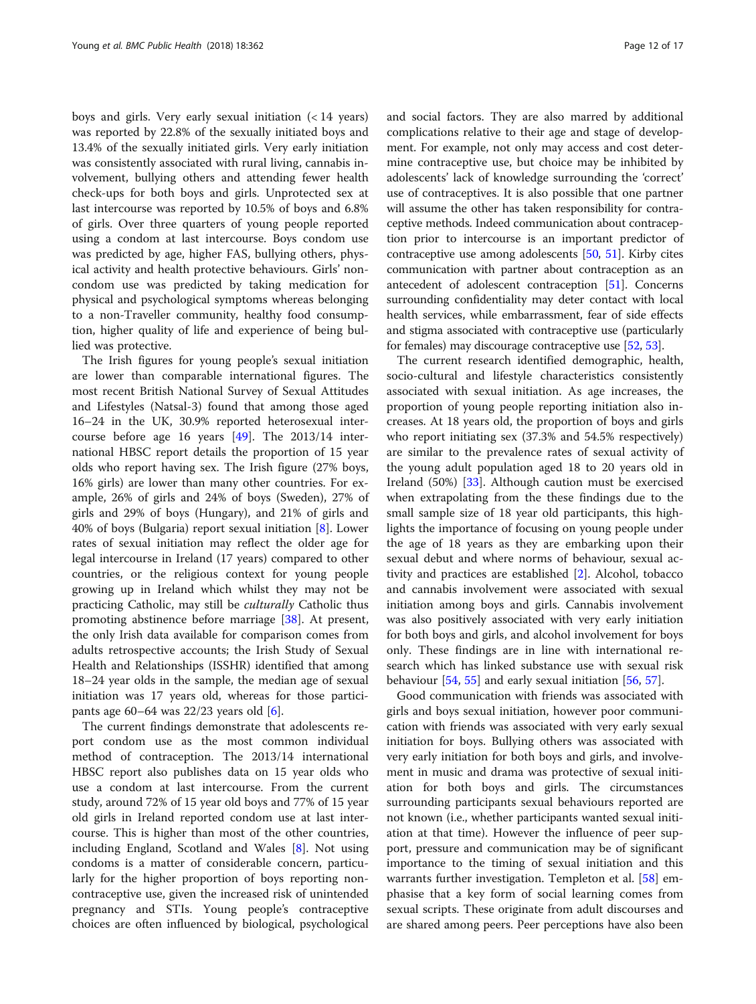boys and girls. Very early sexual initiation (< 14 years) was reported by 22.8% of the sexually initiated boys and 13.4% of the sexually initiated girls. Very early initiation was consistently associated with rural living, cannabis involvement, bullying others and attending fewer health check-ups for both boys and girls. Unprotected sex at last intercourse was reported by 10.5% of boys and 6.8% of girls. Over three quarters of young people reported using a condom at last intercourse. Boys condom use was predicted by age, higher FAS, bullying others, physical activity and health protective behaviours. Girls' noncondom use was predicted by taking medication for physical and psychological symptoms whereas belonging to a non-Traveller community, healthy food consumption, higher quality of life and experience of being bullied was protective.

The Irish figures for young people's sexual initiation are lower than comparable international figures. The most recent British National Survey of Sexual Attitudes and Lifestyles (Natsal-3) found that among those aged 16–24 in the UK, 30.9% reported heterosexual intercourse before age 16 years [[49\]](#page-15-0). The 2013/14 international HBSC report details the proportion of 15 year olds who report having sex. The Irish figure (27% boys, 16% girls) are lower than many other countries. For example, 26% of girls and 24% of boys (Sweden), 27% of girls and 29% of boys (Hungary), and 21% of girls and 40% of boys (Bulgaria) report sexual initiation [[8\]](#page-15-0). Lower rates of sexual initiation may reflect the older age for legal intercourse in Ireland (17 years) compared to other countries, or the religious context for young people growing up in Ireland which whilst they may not be practicing Catholic, may still be culturally Catholic thus promoting abstinence before marriage [[38](#page-15-0)]. At present, the only Irish data available for comparison comes from adults retrospective accounts; the Irish Study of Sexual Health and Relationships (ISSHR) identified that among 18–24 year olds in the sample, the median age of sexual initiation was 17 years old, whereas for those participants age 60–64 was 22/23 years old [[6](#page-15-0)].

The current findings demonstrate that adolescents report condom use as the most common individual method of contraception. The 2013/14 international HBSC report also publishes data on 15 year olds who use a condom at last intercourse. From the current study, around 72% of 15 year old boys and 77% of 15 year old girls in Ireland reported condom use at last intercourse. This is higher than most of the other countries, including England, Scotland and Wales [\[8](#page-15-0)]. Not using condoms is a matter of considerable concern, particularly for the higher proportion of boys reporting noncontraceptive use, given the increased risk of unintended pregnancy and STIs. Young people's contraceptive choices are often influenced by biological, psychological and social factors. They are also marred by additional complications relative to their age and stage of development. For example, not only may access and cost determine contraceptive use, but choice may be inhibited by adolescents' lack of knowledge surrounding the 'correct' use of contraceptives. It is also possible that one partner will assume the other has taken responsibility for contraceptive methods. Indeed communication about contraception prior to intercourse is an important predictor of contraceptive use among adolescents [[50](#page-16-0), [51\]](#page-16-0). Kirby cites communication with partner about contraception as an antecedent of adolescent contraception [[51](#page-16-0)]. Concerns surrounding confidentiality may deter contact with local health services, while embarrassment, fear of side effects and stigma associated with contraceptive use (particularly for females) may discourage contraceptive use [\[52](#page-16-0), [53](#page-16-0)].

The current research identified demographic, health, socio-cultural and lifestyle characteristics consistently associated with sexual initiation. As age increases, the proportion of young people reporting initiation also increases. At 18 years old, the proportion of boys and girls who report initiating sex (37.3% and 54.5% respectively) are similar to the prevalence rates of sexual activity of the young adult population aged 18 to 20 years old in Ireland (50%) [[33](#page-15-0)]. Although caution must be exercised when extrapolating from the these findings due to the small sample size of 18 year old participants, this highlights the importance of focusing on young people under the age of 18 years as they are embarking upon their sexual debut and where norms of behaviour, sexual activity and practices are established [\[2\]](#page-15-0). Alcohol, tobacco and cannabis involvement were associated with sexual initiation among boys and girls. Cannabis involvement was also positively associated with very early initiation for both boys and girls, and alcohol involvement for boys only. These findings are in line with international research which has linked substance use with sexual risk behaviour [\[54,](#page-16-0) [55\]](#page-16-0) and early sexual initiation [[56](#page-16-0), [57](#page-16-0)].

Good communication with friends was associated with girls and boys sexual initiation, however poor communication with friends was associated with very early sexual initiation for boys. Bullying others was associated with very early initiation for both boys and girls, and involvement in music and drama was protective of sexual initiation for both boys and girls. The circumstances surrounding participants sexual behaviours reported are not known (i.e., whether participants wanted sexual initiation at that time). However the influence of peer support, pressure and communication may be of significant importance to the timing of sexual initiation and this warrants further investigation. Templeton et al. [\[58](#page-16-0)] emphasise that a key form of social learning comes from sexual scripts. These originate from adult discourses and are shared among peers. Peer perceptions have also been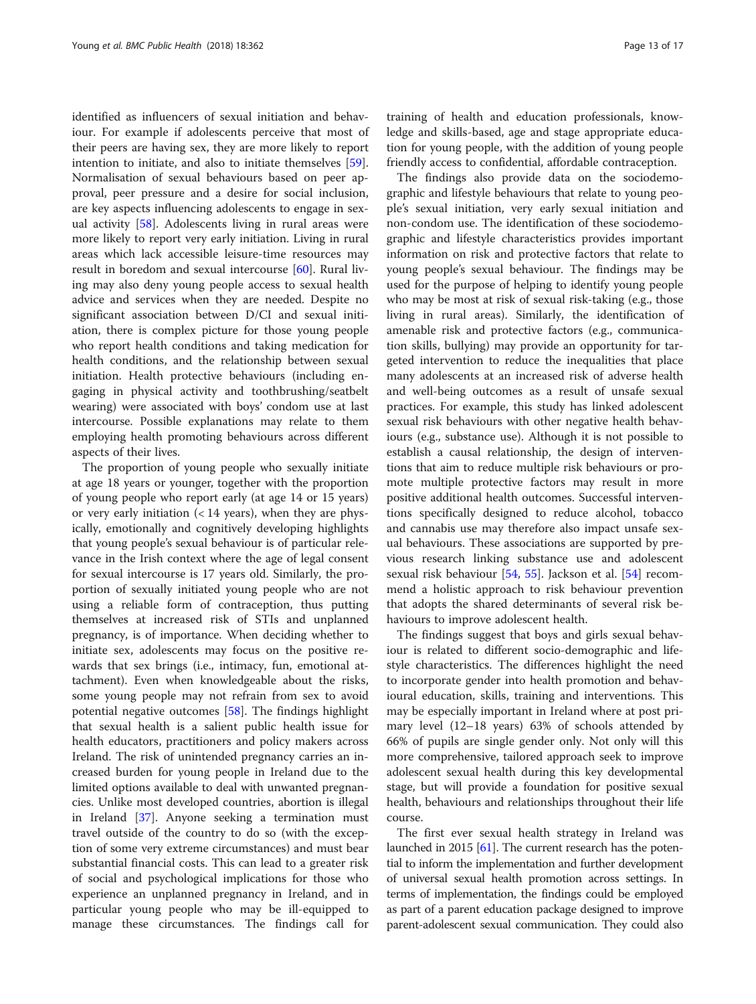identified as influencers of sexual initiation and behaviour. For example if adolescents perceive that most of their peers are having sex, they are more likely to report intention to initiate, and also to initiate themselves [\[59](#page-16-0)]. Normalisation of sexual behaviours based on peer approval, peer pressure and a desire for social inclusion, are key aspects influencing adolescents to engage in sexual activity [[58\]](#page-16-0). Adolescents living in rural areas were more likely to report very early initiation. Living in rural areas which lack accessible leisure-time resources may result in boredom and sexual intercourse [[60](#page-16-0)]. Rural living may also deny young people access to sexual health advice and services when they are needed. Despite no significant association between D/CI and sexual initiation, there is complex picture for those young people who report health conditions and taking medication for health conditions, and the relationship between sexual initiation. Health protective behaviours (including engaging in physical activity and toothbrushing/seatbelt wearing) were associated with boys' condom use at last intercourse. Possible explanations may relate to them employing health promoting behaviours across different aspects of their lives.

The proportion of young people who sexually initiate at age 18 years or younger, together with the proportion of young people who report early (at age 14 or 15 years) or very early initiation  $(< 14$  years), when they are physically, emotionally and cognitively developing highlights that young people's sexual behaviour is of particular relevance in the Irish context where the age of legal consent for sexual intercourse is 17 years old. Similarly, the proportion of sexually initiated young people who are not using a reliable form of contraception, thus putting themselves at increased risk of STIs and unplanned pregnancy, is of importance. When deciding whether to initiate sex, adolescents may focus on the positive rewards that sex brings (i.e., intimacy, fun, emotional attachment). Even when knowledgeable about the risks, some young people may not refrain from sex to avoid potential negative outcomes [[58\]](#page-16-0). The findings highlight that sexual health is a salient public health issue for health educators, practitioners and policy makers across Ireland. The risk of unintended pregnancy carries an increased burden for young people in Ireland due to the limited options available to deal with unwanted pregnancies. Unlike most developed countries, abortion is illegal in Ireland [\[37](#page-15-0)]. Anyone seeking a termination must travel outside of the country to do so (with the exception of some very extreme circumstances) and must bear substantial financial costs. This can lead to a greater risk of social and psychological implications for those who experience an unplanned pregnancy in Ireland, and in particular young people who may be ill-equipped to manage these circumstances. The findings call for

training of health and education professionals, knowledge and skills-based, age and stage appropriate education for young people, with the addition of young people friendly access to confidential, affordable contraception.

The findings also provide data on the sociodemographic and lifestyle behaviours that relate to young people's sexual initiation, very early sexual initiation and non-condom use. The identification of these sociodemographic and lifestyle characteristics provides important information on risk and protective factors that relate to young people's sexual behaviour. The findings may be used for the purpose of helping to identify young people who may be most at risk of sexual risk-taking (e.g., those living in rural areas). Similarly, the identification of amenable risk and protective factors (e.g., communication skills, bullying) may provide an opportunity for targeted intervention to reduce the inequalities that place many adolescents at an increased risk of adverse health and well-being outcomes as a result of unsafe sexual practices. For example, this study has linked adolescent sexual risk behaviours with other negative health behaviours (e.g., substance use). Although it is not possible to establish a causal relationship, the design of interventions that aim to reduce multiple risk behaviours or promote multiple protective factors may result in more positive additional health outcomes. Successful interventions specifically designed to reduce alcohol, tobacco and cannabis use may therefore also impact unsafe sexual behaviours. These associations are supported by previous research linking substance use and adolescent sexual risk behaviour [\[54](#page-16-0), [55](#page-16-0)]. Jackson et al. [[54\]](#page-16-0) recommend a holistic approach to risk behaviour prevention that adopts the shared determinants of several risk behaviours to improve adolescent health.

The findings suggest that boys and girls sexual behaviour is related to different socio-demographic and lifestyle characteristics. The differences highlight the need to incorporate gender into health promotion and behavioural education, skills, training and interventions. This may be especially important in Ireland where at post primary level (12–18 years) 63% of schools attended by 66% of pupils are single gender only. Not only will this more comprehensive, tailored approach seek to improve adolescent sexual health during this key developmental stage, but will provide a foundation for positive sexual health, behaviours and relationships throughout their life course.

The first ever sexual health strategy in Ireland was launched in 2015 [\[61\]](#page-16-0). The current research has the potential to inform the implementation and further development of universal sexual health promotion across settings. In terms of implementation, the findings could be employed as part of a parent education package designed to improve parent-adolescent sexual communication. They could also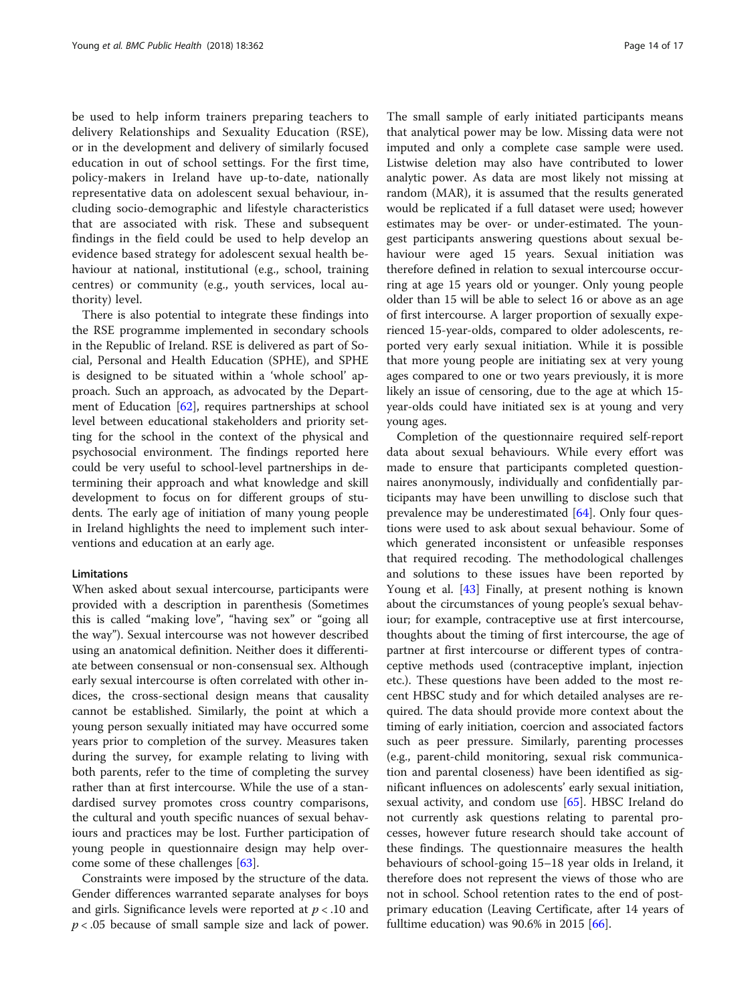be used to help inform trainers preparing teachers to delivery Relationships and Sexuality Education (RSE), or in the development and delivery of similarly focused education in out of school settings. For the first time, policy-makers in Ireland have up-to-date, nationally representative data on adolescent sexual behaviour, including socio-demographic and lifestyle characteristics that are associated with risk. These and subsequent findings in the field could be used to help develop an evidence based strategy for adolescent sexual health behaviour at national, institutional (e.g., school, training centres) or community (e.g., youth services, local authority) level.

There is also potential to integrate these findings into the RSE programme implemented in secondary schools in the Republic of Ireland. RSE is delivered as part of Social, Personal and Health Education (SPHE), and SPHE is designed to be situated within a 'whole school' approach. Such an approach, as advocated by the Department of Education [\[62\]](#page-16-0), requires partnerships at school level between educational stakeholders and priority setting for the school in the context of the physical and psychosocial environment. The findings reported here could be very useful to school-level partnerships in determining their approach and what knowledge and skill development to focus on for different groups of students. The early age of initiation of many young people in Ireland highlights the need to implement such interventions and education at an early age.

## Limitations

When asked about sexual intercourse, participants were provided with a description in parenthesis (Sometimes this is called "making love", "having sex" or "going all the way"). Sexual intercourse was not however described using an anatomical definition. Neither does it differentiate between consensual or non-consensual sex. Although early sexual intercourse is often correlated with other indices, the cross-sectional design means that causality cannot be established. Similarly, the point at which a young person sexually initiated may have occurred some years prior to completion of the survey. Measures taken during the survey, for example relating to living with both parents, refer to the time of completing the survey rather than at first intercourse. While the use of a standardised survey promotes cross country comparisons, the cultural and youth specific nuances of sexual behaviours and practices may be lost. Further participation of young people in questionnaire design may help overcome some of these challenges [\[63\]](#page-16-0).

Constraints were imposed by the structure of the data. Gender differences warranted separate analyses for boys and girls. Significance levels were reported at  $p < 0.10$  and  $p < .05$  because of small sample size and lack of power.

The small sample of early initiated participants means that analytical power may be low. Missing data were not imputed and only a complete case sample were used. Listwise deletion may also have contributed to lower analytic power. As data are most likely not missing at random (MAR), it is assumed that the results generated would be replicated if a full dataset were used; however estimates may be over- or under-estimated. The youngest participants answering questions about sexual behaviour were aged 15 years. Sexual initiation was therefore defined in relation to sexual intercourse occurring at age 15 years old or younger. Only young people older than 15 will be able to select 16 or above as an age of first intercourse. A larger proportion of sexually experienced 15-year-olds, compared to older adolescents, reported very early sexual initiation. While it is possible that more young people are initiating sex at very young ages compared to one or two years previously, it is more likely an issue of censoring, due to the age at which 15 year-olds could have initiated sex is at young and very young ages.

Completion of the questionnaire required self-report data about sexual behaviours. While every effort was made to ensure that participants completed questionnaires anonymously, individually and confidentially participants may have been unwilling to disclose such that prevalence may be underestimated [\[64](#page-16-0)]. Only four questions were used to ask about sexual behaviour. Some of which generated inconsistent or unfeasible responses that required recoding. The methodological challenges and solutions to these issues have been reported by Young et al. [\[43](#page-15-0)] Finally, at present nothing is known about the circumstances of young people's sexual behaviour; for example, contraceptive use at first intercourse, thoughts about the timing of first intercourse, the age of partner at first intercourse or different types of contraceptive methods used (contraceptive implant, injection etc.). These questions have been added to the most recent HBSC study and for which detailed analyses are required. The data should provide more context about the timing of early initiation, coercion and associated factors such as peer pressure. Similarly, parenting processes (e.g., parent-child monitoring, sexual risk communication and parental closeness) have been identified as significant influences on adolescents' early sexual initiation, sexual activity, and condom use [[65\]](#page-16-0). HBSC Ireland do not currently ask questions relating to parental processes, however future research should take account of these findings. The questionnaire measures the health behaviours of school-going 15–18 year olds in Ireland, it therefore does not represent the views of those who are not in school. School retention rates to the end of postprimary education (Leaving Certificate, after 14 years of fulltime education) was  $90.6\%$  in 2015 [[66\]](#page-16-0).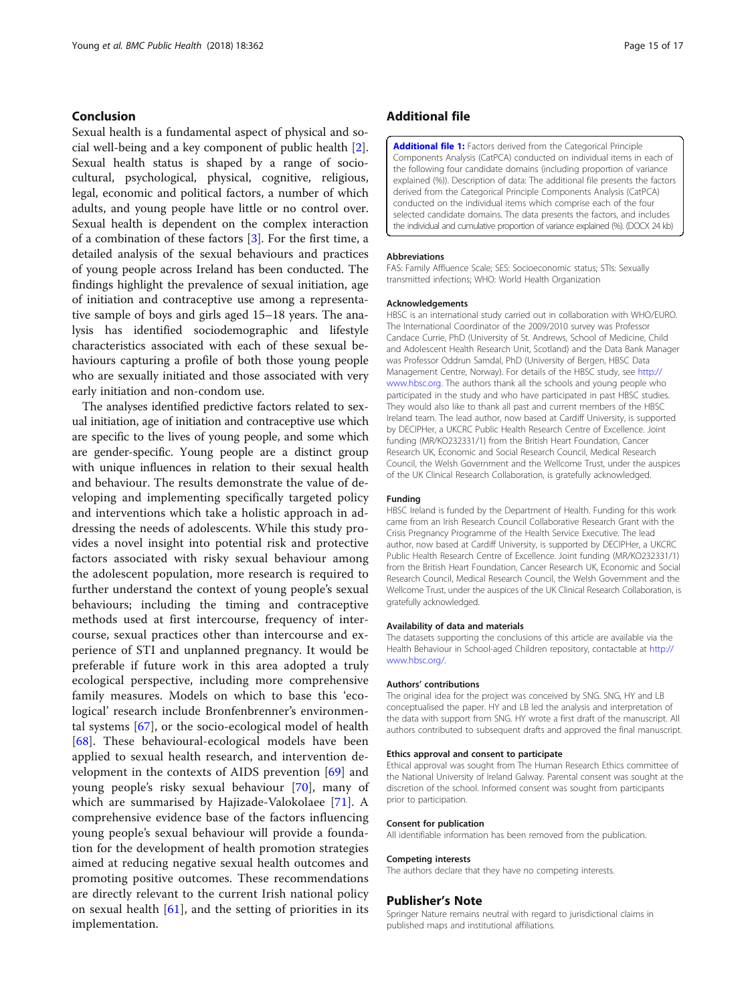## <span id="page-14-0"></span>Conclusion

Sexual health is a fundamental aspect of physical and social well-being and a key component of public health [\[2](#page-15-0)]. Sexual health status is shaped by a range of sociocultural, psychological, physical, cognitive, religious, legal, economic and political factors, a number of which adults, and young people have little or no control over. Sexual health is dependent on the complex interaction of a combination of these factors [[3\]](#page-15-0). For the first time, a detailed analysis of the sexual behaviours and practices of young people across Ireland has been conducted. The findings highlight the prevalence of sexual initiation, age of initiation and contraceptive use among a representative sample of boys and girls aged 15–18 years. The analysis has identified sociodemographic and lifestyle characteristics associated with each of these sexual behaviours capturing a profile of both those young people who are sexually initiated and those associated with very early initiation and non-condom use.

The analyses identified predictive factors related to sexual initiation, age of initiation and contraceptive use which are specific to the lives of young people, and some which are gender-specific. Young people are a distinct group with unique influences in relation to their sexual health and behaviour. The results demonstrate the value of developing and implementing specifically targeted policy and interventions which take a holistic approach in addressing the needs of adolescents. While this study provides a novel insight into potential risk and protective factors associated with risky sexual behaviour among the adolescent population, more research is required to further understand the context of young people's sexual behaviours; including the timing and contraceptive methods used at first intercourse, frequency of intercourse, sexual practices other than intercourse and experience of STI and unplanned pregnancy. It would be preferable if future work in this area adopted a truly ecological perspective, including more comprehensive family measures. Models on which to base this 'ecological' research include Bronfenbrenner's environmental systems [[67\]](#page-16-0), or the socio-ecological model of health [[68\]](#page-16-0). These behavioural-ecological models have been applied to sexual health research, and intervention development in the contexts of AIDS prevention [[69\]](#page-16-0) and young people's risky sexual behaviour [[70\]](#page-16-0), many of which are summarised by Hajizade-Valokolaee [[71\]](#page-16-0). A comprehensive evidence base of the factors influencing young people's sexual behaviour will provide a foundation for the development of health promotion strategies aimed at reducing negative sexual health outcomes and promoting positive outcomes. These recommendations are directly relevant to the current Irish national policy on sexual health  $[61]$  $[61]$  $[61]$ , and the setting of priorities in its implementation.

## Additional file

[Additional file 1:](https://doi.org/10.1186/s12889-018-5217-z) Factors derived from the Categorical Principle Components Analysis (CatPCA) conducted on individual items in each of the following four candidate domains (including proportion of variance explained (%)). Description of data: The additional file presents the factors derived from the Categorical Principle Components Analysis (CatPCA) conducted on the individual items which comprise each of the four selected candidate domains. The data presents the factors, and includes the individual and cumulative proportion of variance explained (%). (DOCX 24 kb)

#### Abbreviations

FAS: Family Affluence Scale; SES: Socioeconomic status; STIs: Sexually transmitted infections; WHO: World Health Organization

#### Acknowledgements

HBSC is an international study carried out in collaboration with WHO/EURO. The International Coordinator of the 2009/2010 survey was Professor Candace Currie, PhD (University of St. Andrews, School of Medicine, Child and Adolescent Health Research Unit, Scotland) and the Data Bank Manager was Professor Oddrun Samdal, PhD (University of Bergen, HBSC Data Management Centre, Norway). For details of the HBSC study, see [http://](http://www.hbsc.org/) [www.hbsc.org.](http://www.hbsc.org/) The authors thank all the schools and young people who participated in the study and who have participated in past HBSC studies. They would also like to thank all past and current members of the HBSC Ireland team. The lead author, now based at Cardiff University, is supported by DECIPHer, a UKCRC Public Health Research Centre of Excellence. Joint funding (MR/KO232331/1) from the British Heart Foundation, Cancer Research UK, Economic and Social Research Council, Medical Research Council, the Welsh Government and the Wellcome Trust, under the auspices of the UK Clinical Research Collaboration, is gratefully acknowledged.

#### Funding

HBSC Ireland is funded by the Department of Health. Funding for this work came from an Irish Research Council Collaborative Research Grant with the Crisis Pregnancy Programme of the Health Service Executive. The lead author, now based at Cardiff University, is supported by DECIPHer, a UKCRC Public Health Research Centre of Excellence. Joint funding (MR/KO232331/1) from the British Heart Foundation, Cancer Research UK, Economic and Social Research Council, Medical Research Council, the Welsh Government and the Wellcome Trust, under the auspices of the UK Clinical Research Collaboration, is gratefully acknowledged.

#### Availability of data and materials

The datasets supporting the conclusions of this article are available via the Health Behaviour in School-aged Children repository, contactable at [http://](http://www.hbsc.org/) [www.hbsc.org/](http://www.hbsc.org/).

#### Authors' contributions

The original idea for the project was conceived by SNG. SNG, HY and LB conceptualised the paper. HY and LB led the analysis and interpretation of the data with support from SNG. HY wrote a first draft of the manuscript. All authors contributed to subsequent drafts and approved the final manuscript.

## Ethics approval and consent to participate

Ethical approval was sought from The Human Research Ethics committee of the National University of Ireland Galway. Parental consent was sought at the discretion of the school. Informed consent was sought from participants prior to participation.

#### Consent for publication

All identifiable information has been removed from the publication.

#### Competing interests

The authors declare that they have no competing interests.

### Publisher's Note

Springer Nature remains neutral with regard to jurisdictional claims in published maps and institutional affiliations.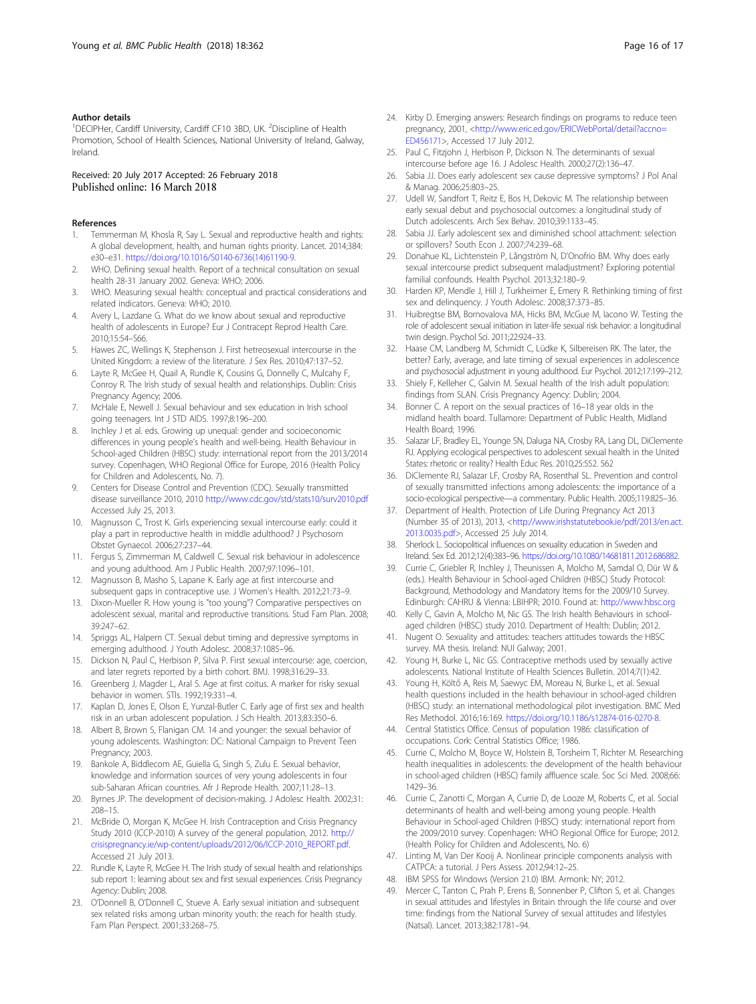#### <span id="page-15-0"></span>Author details

<sup>1</sup>DECIPHer, Cardiff University, Cardiff CF10 3BD, UK. <sup>2</sup>Discipline of Health Promotion, School of Health Sciences, National University of Ireland, Galway, Ireland.

## Received: 20 July 2017 Accepted: 26 February 2018 Published online: 16 March 2018

#### References

- 1. Temmerman M, Khosla R, Say L. Sexual and reproductive health and rights: A global development, health, and human rights priority. Lancet. 2014;384: e30–e31. [https://doi.org/10.1016/S0140-6736\(14\)61190-9.](https://doi.org/10.1016/S0140-6736(14)61190-9)
- 2. WHO. Defining sexual health. Report of a technical consultation on sexual health 28-31 January 2002. Geneva: WHO; 2006.
- 3. WHO. Measuring sexual health: conceptual and practical considerations and related indicators. Geneva: WHO; 2010.
- 4. Avery L, Lazdane G. What do we know about sexual and reproductive health of adolescents in Europe? Eur J Contracept Reprod Health Care. 2010;15:54–S66.
- 5. Hawes ZC, Wellings K, Stephenson J. First hetreosexual intercourse in the United Kingdom: a review of the literature. J Sex Res. 2010;47:137–52.
- 6. Layte R, McGee H, Quail A, Rundle K, Cousins G, Donnelly C, Mulcahy F, Conroy R. The Irish study of sexual health and relationships. Dublin: Crisis Pregnancy Agency; 2006.
- 7. McHale E, Newell J. Sexual behaviour and sex education in Irish school going teenagers. Int J STD AIDS. 1997;8:196–200.
- 8. Inchley J et al. eds. Growing up unequal: gender and socioeconomic differences in young people's health and well-being. Health Behaviour in School-aged Children (HBSC) study: international report from the 2013/2014 survey. Copenhagen, WHO Regional Office for Europe, 2016 (Health Policy for Children and Adolescents, No. 7).
- 9. Centers for Disease Control and Prevention (CDC). Sexually transmitted disease surveillance 2010, 2010 <http://www.cdc.gov/std/stats10/surv2010.pdf> Accessed July 25, 2013.
- 10. Magnusson C, Trost K. Girls experiencing sexual intercourse early: could it play a part in reproductive health in middle adulthood? J Psychosom Obstet Gynaecol. 2006;27:237–44.
- 11. Fergus S, Zimmerman M, Caldwell C. Sexual risk behaviour in adolescence and young adulthood. Am J Public Health. 2007;97:1096–101.
- 12. Magnusson B, Masho S, Lapane K. Early age at first intercourse and subsequent gaps in contraceptive use. J Women's Health. 2012;21:73–9.
- 13. Dixon-Mueller R. How young is "too young"? Comparative perspectives on adolescent sexual, marital and reproductive transitions. Stud Fam Plan. 2008; 39:247–62.
- 14. Spriggs AL, Halpern CT. Sexual debut timing and depressive symptoms in emerging adulthood. J Youth Adolesc. 2008;37:1085–96.
- 15. Dickson N, Paul C, Herbison P, Silva P. First sexual intercourse: age, coercion, and later regrets reported by a birth cohort. BMJ. 1998;316:29–33.
- 16. Greenberg J, Magder L, Aral S. Age at first coitus. A marker for risky sexual behavior in women. STIs. 1992;19:331–4.
- 17. Kaplan D, Jones E, Olson E, Yunzal-Butler C. Early age of first sex and health risk in an urban adolescent population. J Sch Health. 2013;83:350–6.
- 18. Albert B, Brown S, Flanigan CM. 14 and younger: the sexual behavior of young adolescents. Washington: DC: National Campaign to Prevent Teen Pregnancy; 2003.
- 19. Bankole A, Biddlecom AE, Guiella G, Singh S, Zulu E. Sexual behavior, knowledge and information sources of very young adolescents in four sub-Saharan African countries. Afr J Reprode Health. 2007;11:28–13.
- 20. Byrnes JP. The development of decision-making. J Adolesc Health. 2002;31: 208–15.
- 21. McBride O, Morgan K, McGee H. Irish Contraception and Crisis Pregnancy Study 2010 (ICCP-2010) A survey of the general population, 2012. [http://](http://crisispregnancy.ie/wp-content/uploads/2012/06/ICCP-2010_REPORT.pdf) [crisispregnancy.ie/wp-content/uploads/2012/06/ICCP-2010\\_REPORT.pdf.](http://crisispregnancy.ie/wp-content/uploads/2012/06/ICCP-2010_REPORT.pdf) Accessed 21 July 2013.
- 22. Rundle K, Layte R, McGee H. The Irish study of sexual health and relationships sub report 1: learning about sex and first sexual experiences. Crisis Pregnancy Agency: Dublin; 2008.
- 23. O'Donnell B, O'Donnell C, Stueve A. Early sexual initiation and subsequent sex related risks among urban minority youth: the reach for health study. Fam Plan Perspect. 2001;33:268–75.
- 24. Kirby D. Emerging answers: Research findings on programs to reduce teen pregnancy, 2001, [<http://www.eric.ed.gov/ERICWebPortal/detail?accno=](http://www.eric.ed.gov/ERICWebPortal/detail?accno=ED456171) [ED456171](http://www.eric.ed.gov/ERICWebPortal/detail?accno=ED456171)>, Accessed 17 July 2012.
- 25. Paul C, Fitzjohn J, Herbison P, Dickson N. The determinants of sexual intercourse before age 16. J Adolesc Health. 2000;27(2):136–47.
- 26. Sabia JJ. Does early adolescent sex cause depressive symptoms? J Pol Anal & Manag. 2006;25:803–25.
- 27. Udell W, Sandfort T, Reitz E, Bos H, Dekovic M. The relationship between early sexual debut and psychosocial outcomes: a longitudinal study of Dutch adolescents. Arch Sex Behav. 2010;39:1133–45.
- Sabia JJ. Early adolescent sex and diminished school attachment: selection or spillovers? South Econ J. 2007;74:239–68.
- 29. Donahue KL, Lichtenstein P, Långström N, D'Onofrio BM. Why does early sexual intercourse predict subsequent maladjustment? Exploring potential familial confounds. Health Psychol. 2013;32:180–9.
- 30. Harden KP, Mendle J, Hill J, Turkheimer E, Emery R. Rethinking timing of first sex and delinquency. J Youth Adolesc. 2008;37:373–85.
- 31. Huibregtse BM, Bornovalova MA, Hicks BM, McGue M, Iacono W. Testing the role of adolescent sexual initiation in later-life sexual risk behavior: a longitudinal twin design. Psychol Sci. 2011;22:924–33.
- 32. Haase CM, Landberg M, Schmidt C, Lüdke K, Silbereisen RK. The later, the better? Early, average, and late timing of sexual experiences in adolescence and psychosocial adjustment in young adulthood. Eur Psychol. 2012;17:199–212.
- 33. Shiely F, Kelleher C, Galvin M. Sexual health of the Irish adult population: findings from SLAN. Crisis Pregnancy Agency: Dublin; 2004.
- 34. Bonner C. A report on the sexual practices of 16–18 year olds in the midland health board. Tullamore: Department of Public Health, Midland Health Board; 1996.
- Salazar LF, Bradley EL, Younge SN, Daluga NA, Crosby RA, Lang DL, DiClemente RJ. Applying ecological perspectives to adolescent sexual health in the United States: rhetoric or reality? Health Educ Res. 2010;25:552. 562
- 36. DiClemente RJ, Salazar LF, Crosby RA, Rosenthal SL. Prevention and control of sexually transmitted infections among adolescents: the importance of a socio-ecological perspective—a commentary. Public Health. 2005;119:825–36.
- 37. Department of Health. Protection of Life During Pregnancy Act 2013 (Number 35 of 2013), 2013, <[http://www.irishstatutebook.ie/pdf/2013/en.act.](http://www.irishstatutebook.ie/pdf/2013/en.act.2013.0035.pdf) [2013.0035.pdf>](http://www.irishstatutebook.ie/pdf/2013/en.act.2013.0035.pdf), Accessed 25 July 2014.
- Sherlock L. Sociopolitical influences on sexuality education in Sweden and Ireland. Sex Ed. 2012;12(4):383-96. https://doi.org/10.1080/14681811.2012.686
- 39. Currie C, Griebler R, Inchley J, Theunissen A, Molcho M, Samdal O, Dür W & (eds.). Health Behaviour in School-aged Children (HBSC) Study Protocol: Background, Methodology and Mandatory Items for the 2009/10 Survey. Edinburgh: CAHRU & Vienna: LBIHPR; 2010. Found at: <http://www.hbsc.org>
- 40. Kelly C, Gavin A, Molcho M, Nic GS. The Irish health Behaviours in schoolaged children (HBSC) study 2010. Department of Health: Dublin; 2012.
- 41. Nugent O. Sexuality and attitudes: teachers attitudes towards the HBSC survey. MA thesis. Ireland: NUI Galway; 2001.
- 42. Young H, Burke L, Nic GS. Contraceptive methods used by sexually active adolescents. National Institute of Health Sciences Bulletin. 2014;7(1):42.
- 43. Young H, Költő A, Reis M, Saewyc EM, Moreau N, Burke L, et al. Sexual health questions included in the health behaviour in school-aged children (HBSC) study: an international methodological pilot investigation. BMC Med Res Methodol. 2016;16:169. <https://doi.org/10.1186/s12874-016-0270-8>.
- 44. Central Statistics Office. Census of population 1986: classification of occupations. Cork: Central Statistics Office; 1986.
- 45. Currie C, Molcho M, Boyce W, Holstein B, Torsheim T, Richter M. Researching health inequalities in adolescents: the development of the health behaviour in school-aged children (HBSC) family affluence scale. Soc Sci Med. 2008;66: 1429–36.
- 46. Currie C, Zanotti C, Morgan A, Currie D, de Looze M, Roberts C, et al. Social determinants of health and well-being among young people. Health Behaviour in School-aged Children (HBSC) study: international report from the 2009/2010 survey. Copenhagen: WHO Regional Office for Europe; 2012. (Health Policy for Children and Adolescents, No. 6)
- 47. Linting M, Van Der Kooij A. Nonlinear principle components analysis with CATPCA: a tutorial. J Pers Assess. 2012;94:12–25.
- 48. IBM SPSS for Windows (Version 21.0) IBM. Armonk: NY; 2012.
- 49. Mercer C, Tanton C, Prah P, Erens B, Sonnenber P, Clifton S, et al. Changes in sexual attitudes and lifestyles in Britain through the life course and over time: findings from the National Survey of sexual attitudes and lifestyles (Natsal). Lancet. 2013;382:1781–94.